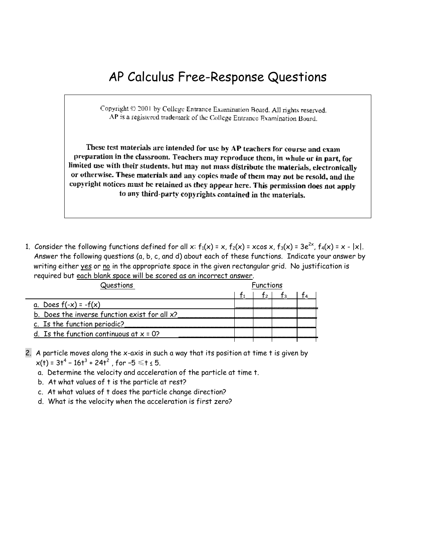# AP Calculus Free-Response Questions

Copyright © 2001 by College Entrance Examination Board. All rights reserved. AP is a registered trademark of the College Entrance Examination Board.

These test materials are intended for use by AP teachers for course and exam preparation in the classroom. Teachers may reproduce them, in whole or in part, for limited use with their students, but may not mass distribute the materials, electronically or otherwise. These materials and any copies made of them may not be resold, and the copyright notices must be retained as they appear here. This permission does not apply to any third-party copyrights contained in the materials.

1. Consider the following functions defined for all x:  $f_1(x) = x$ ,  $f_2(x) = x\cos x$ ,  $f_3(x) = 3e^{2x}$ ,  $f_4(x) = x - |x|$ . Answer the following questions (a, b, c, and d) about each of these functions. Indicate your answer by writing either yes or no in the appropriate space in the given rectangular grid. No justification is required but each blank space will be scored as an incorrect answer.

| Questions                                     | Functions |  |  |  |  |
|-----------------------------------------------|-----------|--|--|--|--|
|                                               |           |  |  |  |  |
| a. Does $f(-x) = -f(x)$                       |           |  |  |  |  |
| b. Does the inverse function exist for all x? |           |  |  |  |  |
| c. Is the function periodic?                  |           |  |  |  |  |
| d. Is the function continuous at $x = 0$ ?    |           |  |  |  |  |
|                                               |           |  |  |  |  |

- 2. A particle moves along the x-axis in such a way that its position at time t is given by  $x(t)$  = 3t<sup>4</sup> - 16t<sup>3</sup> + 24t<sup>2</sup> , for -5  $\leqslant$ t <u><</u> 5.
	- a. Determine the velocity and acceleration of the particle at time t.
	- b. At what values of t is the particle at rest?
	- c. At what values of t does the particle change direction?
	- d. What is the velocity when the acceleration is first zero?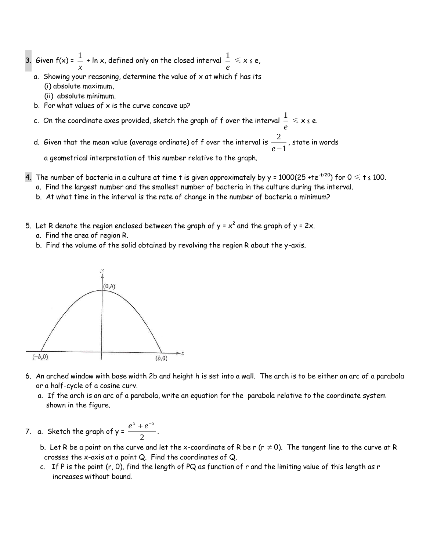- 3. Given  $f(x) = \frac{1}{x}$  $\frac{1}{x}$  + ln x, defined only on the closed interval  $\frac{1}{e}$  $\frac{1}{\tau} \leqslant \mathsf{x}$  s e,
	- a. Showing your reasoning, determine the value of  $x$  at which  $f$  has its (i) absolute maximum,
		- (ii) absolute minimum.
	- b. For what values of  $x$  is the curve concave up?
- c. On the coordinate axes provided, sketch the graph of f over the interval *e*  $\frac{1}{\epsilon} \leqslant \mathsf{x}$  s e.
- d. Given that the mean value (average ordinate) of f over the interval is  $\frac{1}{e-1}$ 2  $\frac{2}{e-1}$  , state in words

a geometrical interpretation of this number relative to the graph.

- 4. The number of bacteria in a culture at time t is given approximately by y = 1000(25 +te<sup>-t/20</sup>) for  $0 \le t \le 100$ .
	- a. Find the largest number and the smallest number of bacteria in the culture during the interval.
	- b. At what time in the interval is the rate of change in the number of bacteria a minimum?
- 5. Let R denote the region enclosed between the graph of y =  $x^2$  and the graph of y = 2x.
	- a. Find the area of region R.
	- b. Find the volume of the solid obtained by revolving the region R about the y-axis.



- 6. An arched window with base width 2b and height h is set into a wall. The arch is to be either an arc of a parabola or a half-cycle of a cosine curv.
	- a. If the arch is an arc of a parabola, write an equation for the parabola relative to the coordinate system shown in the figure.
- 7.  $\alpha$ . Sketch the graph of y =  $\frac{1}{\alpha}$  $\frac{e^{x}+e^{-x}}{2}$ .
- b. Let R be a point on the curve and let the x-coordinate of R be r (r  $\neq$  0). The tangent line to the curve at R crosses the x-axis at a point Q. Find the coordinates of Q.
	- c. If P is the point (r, 0), find the length of PQ as function of r and the limiting value of this length as r increases without bound.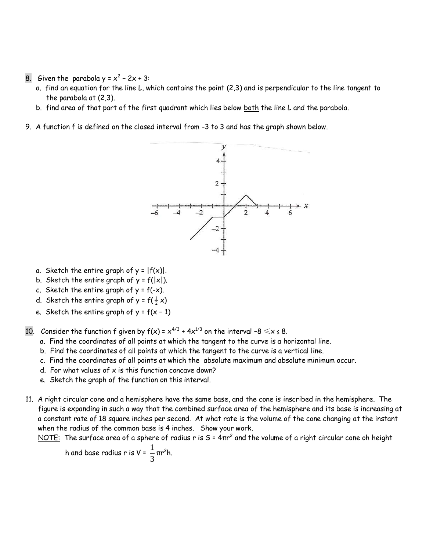- 8. Given the parabola  $y = x^2 2x + 3$ :
	- a. find an equation for the line L, which contains the point (2,3) and is perpendicular to the line tangent to the parabola at (2,3).
	- b. find area of that part of the first quadrant which lies below both the line L and the parabola.
- 9. A function f is defined on the closed interval from -3 to 3 and has the graph shown below.



- a. Sketch the entire graph of  $y = |f(x)|$ .
- b. Sketch the entire graph of  $y = f(|x|)$ .
- c. Sketch the entire graph of  $y = f(-x)$ .
- d. Sketch the entire graph of y = f( $\frac{1}{2}$  x)
	- e. Sketch the entire graph of  $y = f(x 1)$
- 10. Consider the function f given by  $f(x) = x^{4/3} + 4x^{1/3}$  on the interval -8  $\le x \le 8$ .
	- a. Find the coordinates of all points at which the tangent to the curve is a horizontal line.
	- b. Find the coordinates of all points at which the tangent to the curve is a vertical line.
	- c. Find the coordinates of all points at which the absolute maximum and absolute minimum occur.
	- d. For what values of  $x$  is this function concave down?
	- e. Sketch the graph of the function on this interval.
- 11. A right circular cone and a hemisphere have the same base, and the cone is inscribed in the hemisphere. The figure is expanding in such a way that the combined surface area of the hemisphere and its base is increasing at a constant rate of 18 square inches per second. At what rate is the volume of the cone changing at the instant when the radius of the common base is 4 inches. Show your work.

<u>NOTE:</u> The surface area of a sphere of radius r is S =  $4\pi r^2$  and the volume of a right circular cone oh height

h and base radius r is V = 
$$
\frac{1}{3} \pi r^2 h
$$
.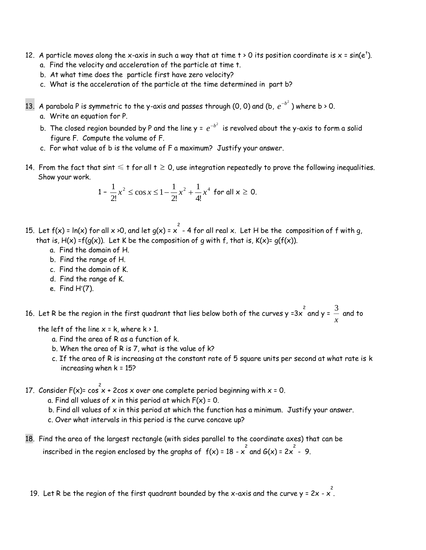- 12. A particle moves along the x-axis in such a way that at time t > 0 its position coordinate is x = sin(e<sup>t</sup>). a. Find the velocity and acceleration of the particle at time t.
	- b. At what time does the particle first have zero velocity?
	- c. What is the acceleration of the particle at the time determined in part b?
- 13. A parabola P is symmetric to the y-axis and passes through (0, 0) and (b,  $e^{-b^2}$  ) where b > 0.
	- a. Write an equation for P.
- b. The closed region bounded by P and the line y =  $\,e^{-b^2}\,$  is revolved about the y-axis to form a solid figure F. Compute the volume of F.
	- c. For what value of b is the volume of F a maximum? Justify your answer.
- 14. From the fact that sint  $\leqslant$  t for all t  $\geqslant$  0, use integration repeatedly to prove the following inequalities. Show your work.

$$
1 - \frac{1}{2!}x^2 \le \cos x \le 1 - \frac{1}{2!}x^2 + \frac{1}{4!}x^4 \text{ for all } x \ge 0.
$$

- 15. Let f(x) = ln(x) for all x >0, and let g(x) = x  $^{2}$  4 for all real x. Let H be the composition of f with g, that is,  $H(x) = f(q(x))$ . Let K be the composition of q with f, that is,  $K(x) = g(f(x))$ .
	- a. Find the domain of H.
	- b. Find the range of H.
	- c. Find the domain of K.
	- d. Find the range of K.
	- e. Find  $H'(7)$ .

16. Let R be the region in the first quadrant that lies below both of the curves y =3x  $\overline{\stackrel{2}{\mathsf{2}}}$  and to *x*

the left of the line  $x = k$ , where  $k > 1$ .

- a. Find the area of R as a function of k.
- b. When the area of R is 7, what is the value of k?
- c. If the area of R is increasing at the constant rate of 5 square units per second at what rate is k increasing when  $k = 15$ ?
- 17. Consider F(x)=  $\cos x$  + 2 $\cos x$  over one complete period beginning with x = 0.
	- a. Find all values of x in this period at which  $F(x) = 0$ .
	- b. Find all values of  $x$  in this period at which the function has a minimum. Justify your answer.
	- c. Over what intervals in this period is the curve concave up?
- 18. Find the area of the largest rectangle (with sides parallel to the coordinate axes) that can be inscribed in the region enclosed by the graphs of  $f(x)$  = 18 -  $x^2$  and  $G(x)$  = 2 $x^2$  - 9.
	- 19. Let R be the region of the first quadrant bounded by the x-axis and the curve y = 2x x 2 .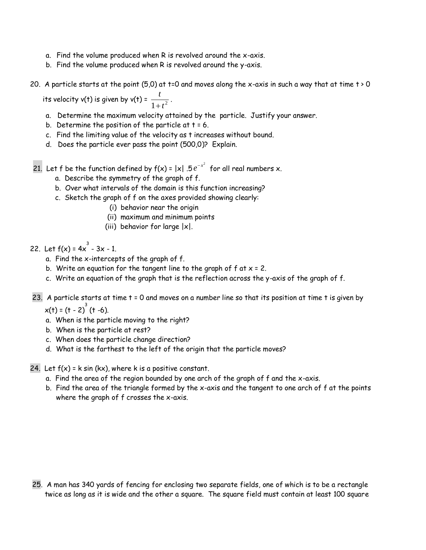- a. Find the volume produced when R is revolved around the x-axis.
- b. Find the volume produced when R is revolved around the y-axis.
- 20. A particle starts at the point (5,0) at t=0 and moves along the x-axis in such a way that at time t > 0

its velocity v(t) is given by v(t) =  $\frac{t}{t}$  $\frac{1}{1+t^2}$ .

- a. Determine the maximum velocity attained by the particle. Justify your answer.
- b. Determine the position of the particle at  $t = 6$ .
- c. Find the limiting value of the velocity as t increases without bound.
- d. Does the particle ever pass the point (500,0)? Explain.

21. Let f be the function defined by  $f(x) = |x|$  .5  $e^{-x^2}$  for all real numbers x.

- a. Describe the symmetry of the graph of f.
- b. Over what intervals of the domain is this function increasing?
- c. Sketch the graph of f on the axes provided showing clearly:
	- (i) behavior near the origin
	- (ii) maximum and minimum points
	- (iii) behavior for large  $|x|$ .

## 22. Let  $f(x) = 4x^3 - 3x - 1$ .

- a. Find the x-intercepts of the graph of f.
- b. Write an equation for the tangent line to the graph of  $f$  at  $x = 2$ .
- c. Write an equation of the graph that is the reflection across the y-axis of the graph of f.
- 23. A particle starts at time t = 0 and moves on a number line so that its position at time t is given by

 $x(t) = (t - 2)^3 (t - 6)$ .

- a. When is the particle moving to the right?
- b. When is the particle at rest?
- c. When does the particle change direction?
- d. What is the farthest to the left of the origin that the particle moves?

24. Let  $f(x) = k \sin (kx)$ , where k is a positive constant.

- a. Find the area of the region bounded by one arch of the graph of f and the x-axis.
- b. Find the area of the triangle formed by the x-axis and the tangent to one arch of f at the points where the graph of f crosses the x-axis.

<sup>25.</sup> A man has 340 yards of fencing for enclosing two separate fields, one of which is to be a rectangle twice as long as it is wide and the other a square. The square field must contain at least 100 square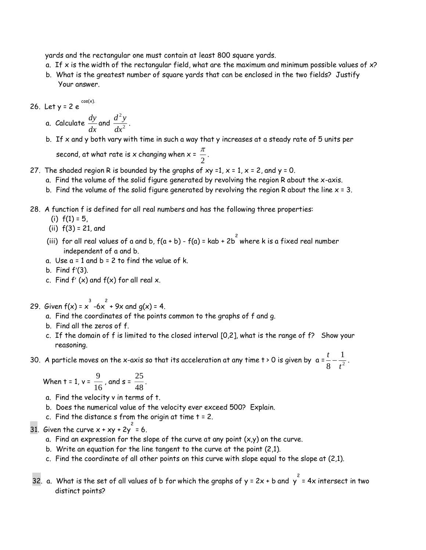yards and the rectangular one must contain at least 800 square yards.

- a. If x is the width of the rectangular field, what are the maximum and minimum possible values of  $x$ ?
- b. What is the greatest number of square yards that can be enclosed in the two fields? Justify Your answer.

26. Let y = 2 e  $\frac{\cos(x)}{x}$ 

- a. Calculate *dy*  $\frac{dy}{dx}$  and  $\frac{d^2y}{dx^2}$ *dx* 2  $\frac{y}{2}$ .
- b. If x and y both vary with time in such a way that y increases at a steady rate of 5 units per

second, at what rate is x changing when x =  $\frac{\pi}{\sqrt{2}}$  $\frac{1}{2}$ .

- 27. The shaded region R is bounded by the graphs of  $xy = 1$ ,  $x = 1$ ,  $x = 2$ , and  $y = 0$ .
	- a. Find the volume of the solid figure generated by revolving the region R about the x-axis.
	- b. Find the volume of the solid figure generated by revolving the region R about the line  $x = 3$ .
- 28. A function f is defined for all real numbers and has the following three properties:
	- (i)  $f(1) = 5$ ,
	- (ii) f(3) = 21, and
	- (iii) for all real values of a and b, f(a + b) f(a) = kab + 2b  $^{\text{2}}$  where k is a fixed real number independent of a and b.
	- a. Use  $a = 1$  and  $b = 2$  to find the value of k.
	- b. Find  $f'(3)$ .
	- c. Find  $f'(x)$  and  $f(x)$  for all real x.

29. Given  $f(x) = x^3 - 6x^2 + 9x$  and  $g(x) = 4$ .

- a. Find the coordinates of the points common to the graphs of f and g.
- b. Find all the zeros of f.
- c. If the domain of f is limited to the closed interval [0,2], what is the range of f? Show your reasoning.

30. A particle moves on the x-axis so that its acceleration at any time t > 0 is given by a = *t* 8 *t* 1  $-\frac{1}{t^2}$ .

When 
$$
t = 1
$$
,  $v = \frac{9}{16}$ , and  $s = \frac{25}{48}$ .

- a. Find the velocity v in terms of t.
- b. Does the numerical value of the velocity ever exceed 500? Explain.
- c. Find the distance  $s$  from the origin at time  $t = 2$ .

31. Given the curve  $x + xy + 2y^2 = 6$ .

- a. Find an expression for the slope of the curve at any point  $(x,y)$  on the curve.
- b. Write an equation for the line tangent to the curve at the point (2,1).
- c. Find the coordinate of all other points on this curve with slope equal to the slope at (2,1).
- 32. a. What is the set of all values of b for which the graphs of y = 2x + b and y  $^{2}$  = 4x intersect in two distinct points?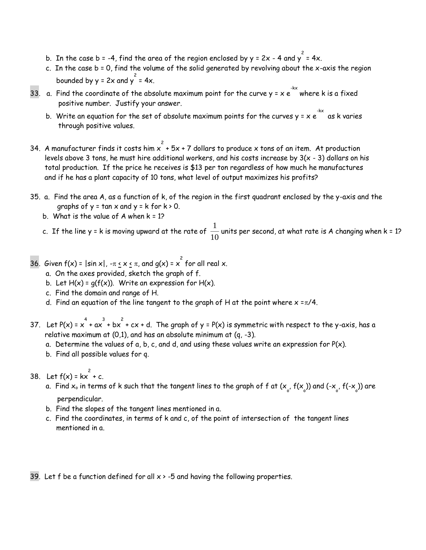- b. In the case b = -4, find the area of the region enclosed by y = 2x 4 and y  $^2$  = 4x.
- c. In the case b = 0, find the volume of the solid generated by revolving about the x-axis the region bounded by  $y = 2x$  and  $y^2 = 4x$ .
- 33. a. Find the coordinate of the absolute maximum point for the curve y = x e  $\overset{\textup{4x}}{\textup{}}$  where k is a fixed positive number. Justify your answer.
	- b. Write an equation for the set of absolute maximum points for the curves y = x e  $\overline{\phantom{a}}^{\text{-kx}}$  as k varies through positive values.
- 34. A manufacturer finds it costs him  $\frac{2}{x}$  + 5x + 7 dollars to produce x tons of an item. At production levels above 3 tons, he must hire additional workers, and his costs increase by  $3(x - 3)$  dollars on his total production. If the price he receives is \$13 per ton regardless of how much he manufactures and if he has a plant capacity of 10 tons, what level of output maximizes his profits?
- 35. a. Find the area A, as a function of k, of the region in the first quadrant enclosed by the y-axis and the graphs of  $y = \tan x$  and  $y = k$  for  $k > 0$ .
	- b. What is the value of  $A$  when  $k = 1$ ?
- c. If the line y = k is moving upward at the rate of  $\frac{1}{\sqrt{2}}$  $\frac{\_}{10}$  units per second, at what rate is A changing when k = 1?
- 36. Given f(x) =  $|\sin x|$ , - $\pi \le x \le \pi$ , and g(x) =  $x^2$  for all real x.
	- a. On the axes provided, sketch the graph of f.
	- b. Let  $H(x) = q(f(x))$ . Write an expression for  $H(x)$ .
	- c. Find the domain and range of H.
	- d. Find an equation of the line tangent to the graph of H at the point where  $x = \pi/4$ .
- 37. Let P(x) =  $x^4 + ax^3 + bx^2 + cx + d$ . The graph of y = P(x) is symmetric with respect to the y-axis, has a relative maximum at  $(0,1)$ , and has an absolute minimum at  $(q, -3)$ .
	- a. Determine the values of a, b, c, and d, and using these values write an expression for  $P(x)$ .
	- b. Find all possible values for q.

38. Let  $f(x) = kx^{2} + c$ .

- a. Find  $x_\circ$  in terms of k such that the tangent lines to the graph of f at ( $\mathsf{x}_\circ$ , f( $\mathsf{x}_\circ$ )) and (- $\mathsf{x}_\circ$ , f(- $\mathsf{x}_\circ$ )) are perpendicular.
- b. Find the slopes of the tangent lines mentioned in a.
- c. Find the coordinates, in terms of k and c, of the point of intersection of the tangent lines mentioned in a.

39. Let f be a function defined for all  $x > -5$  and having the following properties.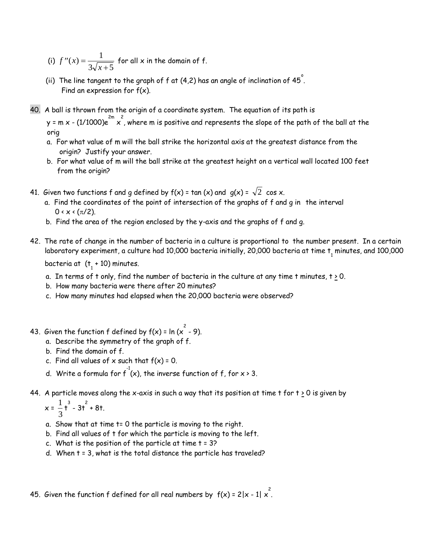- (i)  $f''(x) = \frac{1}{3\sqrt{x+1}}$  $3\sqrt{x}+5$ for all x in the domain of f.
- (ii) The line tangent to the graph of f at (4,2) has an angle of inclination of 45  $\degree$  . Find an expression for  $f(x)$ .
- 40. A ball is thrown from the origin of a coordinate system. The equation of its path is

y = m x - (1/1000)e  $\sum_{x=1}^{2m}$  x  $\hat{z}$  , where m is positive and represents the slope of the path of the ball at the orig

- a. For what value of m will the ball strike the horizontal axis at the greatest distance from the origin? Justify your answer.
- b. For what value of m will the ball strike at the greatest height on a vertical wall located 100 feet from the origin?
- 41. Given two functions f and g defined by f(x) = tan (x) and g(x) =  $\sqrt{2}$  cos x.
	- a. Find the coordinates of the point of intersection of the graphs of f and g in the interval  $0 \times x \times (\pi/2)$ .
	- b. Find the area of the region enclosed by the y-axis and the graphs of f and g.
- 42. The rate of change in the number of bacteria in a culture is proportional to the number present. In a certain laboratory experiment, a culture had 10,000 bacteria initially, 20,000 bacteria at time  $\bm{{\mathsf{t}}}_1$  minutes, and 100,000

bacteria at  $(t + 10)$  minutes.

- a. In terms of t only, find the number of bacteria in the culture at any time t minutes,  $t \ge 0$ .
- b. How many bacteria were there after 20 minutes?
- c. How many minutes had elapsed when the 20,000 bacteria were observed?
- 43. Given the function  $f$  defined by  $f(x)$  = ln  $(x^2 9)$ .
	- a. Describe the symmetry of the graph of f.
	- b. Find the domain of f.
	- c. Find all values of  $x$  such that  $f(x) = 0$ .
	- d. Write a formula for  $f^{\text{-}1}(x)$ , the inverse function of f, for x > 3.
- 44. A particle moves along the x-axis in such a way that its position at time t for  $t \ge 0$  is given by

$$
x = \frac{1}{3}t^3 - 3t^2 + 8t.
$$

- a. Show that at time t= 0 the particle is moving to the right.
- b. Find all values of t for which the particle is moving to the left.
- c. What is the position of the particle at time  $t = 3$ ?
- d. When t = 3, what is the total distance the particle has traveled?

45. Given the function  $f$  defined for all real numbers by  $\ f(x)$  = 2|x - 1| x  $\overset{\text{2}}{.}$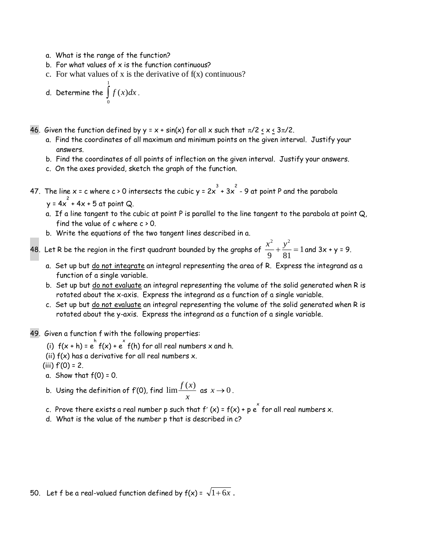a. What is the range of the function?

1

- b. For what values of  $x$  is the function continuous?
- c. For what values of x is the derivative of  $f(x)$  continuous?

d. Determine the *f* (*x*)*dx*  $\int\limits_0^1 f(x)dx$ .

- 46. Given the function defined by  $y = x + sin(x)$  for all x such that  $\pi/2 < x < 3\pi/2$ .
	- a. Find the coordinates of all maximum and minimum points on the given interval. Justify your answers.
	- b. Find the coordinates of all points of inflection on the given interval. Justify your answers.
	- c. On the axes provided, sketch the graph of the function.
- 47. The line x = c where c > 0 intersects the cubic y = 2x  $^3$  + 3x  $^2$  9 at point P and the parabola
- $y = 4x^2 + 4x + 5$  at point Q.
	- a. If a line tangent to the cubic at point P is parallel to the line tangent to the parabola at point Q, find the value of c where  $c \ge 0$ .
	- b. Write the equations of the two tangent lines described in a.

48. Let R be the region in the first quadrant bounded by the graphs of  $\frac{x^2}{2} + \frac{y^2}{2}$  $\frac{1}{9} + \frac{9}{81} = 1$  and 3x + y = 9.

- a. Set up but do not integrate an integral representing the area of R. Express the integrand as a function of a single variable.
- b. Set up but do not evaluate an integral representing the volume of the solid generated when R is rotated about the x-axis. Express the integrand as a function of a single variable.
- c. Set up but do not evaluate an integral representing the volume of the solid generated when R is rotated about the y-axis. Express the integrand as a function of a single variable.
- 49. Given a function f with the following properties:
	- (i)  $f(x+h) = e^h f(x) + e^x f(h)$  for all real numbers x and h.
	- (ii)  $f(x)$  has a derivative for all real numbers  $x$ .
	- (iii)  $f'(0) = 2$ .
	- a. Show that  $f(0) = 0$ .
	- b. Using the definition of  $\mathsf{f}'(0)$ , find  $\lim \frac{f(x)}{f(x)}$  $\frac{y}{x}$  as  $x \to 0$ .
	- c. Prove there exists a real number p such that  $f'(x)$  =  $f(x)$  + p  $\stackrel{\sim}{e}$  for all real numbers  $x$ .
	- d. What is the value of the number p that is described in c?

50. Let f be a real-valued function defined by  $f(x)$  =  $\sqrt{1+6x}$  .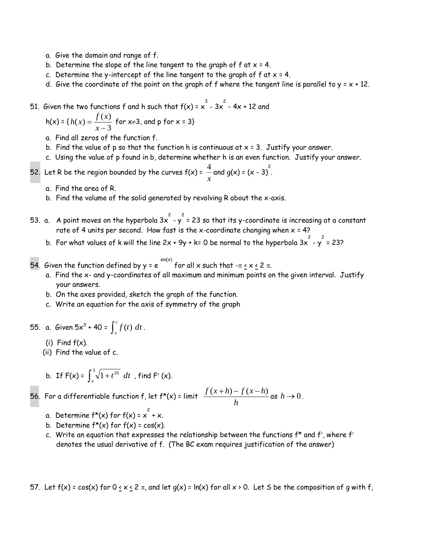- a. Give the domain and range of f.
- b. Determine the slope of the line tangent to the graph of  $f$  at  $x = 4$ .
- c. Determine the y-intercept of the line tangent to the graph of  $f$  at  $x = 4$ .
- d. Give the coordinate of the point on the graph of f where the tangent line is parallel to  $y = x + 12$ .

51. Given the two functions f and h such that 
$$
f(x) = x^3 - 3x^2 - 4x + 12
$$
 and

$$
h(x) = {h(x) = \frac{f(x)}{x-3}
$$
 for x=3, and p for x = 3}

- a. Find all zeros of the function f.
- b. Find the value of p so that the function h is continuous at  $x = 3$ . Justify your answer.
- c. Using the value of p found in b, determine whether h is an even function. Justify your answer.
- 52. Let R be the region bounded by the curves  $f(x)$  =  $\,\frac{4}{-}\,$  $\frac{4}{x}$  and g(x) = (x - 3)<sup>2</sup>.
	- a. Find the area of R.
	- b. Find the volume of the solid generated by revolving R about the x-axis.
- 53. a.  $\,$  A point moves on the hyperbola 3x  $^{2}$  y  $^{2}$  = 23 so that its y-coordinate is increasing at a constant rate of 4 units per second. How fast is the x-coordinate changing when  $x = 4$ ?
	- b. For what values of k will the line 2x + 9y + k= 0 be normal to the hyperbola 3x  $^2$  y  $^2$  = 23?

54. Given the function defined by y = e  $\overline{\phantom{a}}^{sin(x)}$  for all x such that - $\pi$  <u>< x <</u> 2  $\pi$ .

- a. Find the x- and y-coordinates of all maximum and minimum points on the given interval. Justify your answers.
- b. On the axes provided, sketch the graph of the function.
- c. Write an equation for the axis of symmetry of the graph

55. a. *Given* 5x<sup>3</sup> + 40 =  $\int_{x}^{c}$  $\int_{x} f(t) dt$ .

- $(i)$  Find  $f(x)$ .
- (ii) Find the value of c.

b. If 
$$
F(x) = \int_{x}^{3} \sqrt{1+t^{16}} dt
$$
, find  $F'(x)$ .

56. For a differentiable function f, let f\*(x) = limit  $\frac{f(x+h)-f(x-h)}{f(x+h)-f(x)}$ *h*  $\frac{(x+h)-f(x-h)}{h}$  as  $h\to 0$ .

- a. Determine f\*(x) for f(x) =  $x^2 + x$ .
- b. Determine  $f^*(x)$  for  $f(x) = cos(x)$ .
- c. Write an equation that expresses the relationship between the functions  $f^*$  and  $f'$ , where  $f'$ denotes the usual derivative of f. (The BC exam requires justification of the answer)

57. Let  $f(x) = cos(x)$  for  $0 \le x \le 2 \pi$ , and let  $g(x) = ln(x)$  for all  $x > 0$ . Let S be the composition of g with f,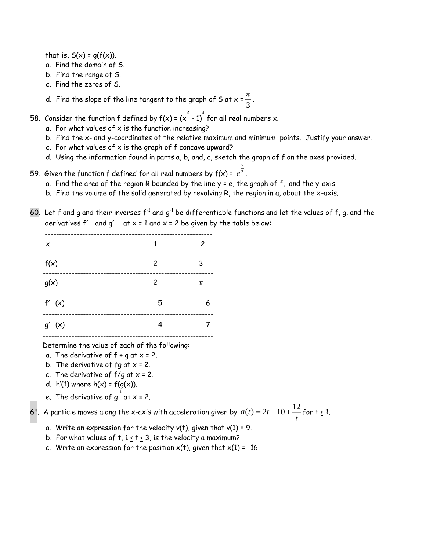that is,  $S(x) = g(f(x))$ .

- a. Find the domain of S.
- b. Find the range of S.
- c. Find the zeros of S.
- d. Find the slope of the line tangent to the graph of S at x =  $\frac{\pi}{4}$  $\frac{1}{3}$ .

58. Consider the function f defined by f(x) = (x  $^{2}$  - 1)  $^{3}$  for all real numbers x.

- a. For what values of  $x$  is the function increasing?
- b. Find the x- and y-coordinates of the relative maximum and minimum points. Justify your answer.

*x*

- c. For what values of  $x$  is the graph of  $f$  concave upward?
- d. Using the information found in parts a, b, and, c, sketch the graph of f on the axes provided.
- 59. Given the function f defined for all real numbers by f(x) = *e* 2 .
	- a. Find the area of the region R bounded by the line  $y = e$ , the graph of  $f$ , and the y-axis.
	- b. Find the volume of the solid generated by revolving R, the region in a, about the x-axis.
- 60. Let f and g and their inverses  $f^{-1}$  and g<sup>-1</sup> be differentiable functions and let the values of f, g, and the derivatives  $f'$  and  $g'$  at  $x = 1$  and  $x = 2$  be given by the table below:

| ×          | 1 | 2 |
|------------|---|---|
| f(x)       | 2 | 3 |
| g(x)       | 2 | π |
| f'(x)      | 5 |   |
| $g'$ $(x)$ |   |   |
|            |   |   |

Determine the value of each of the following:

- a. The derivative of  $f + g$  at  $x = 2$ .
- b. The derivative of  $fg$  at  $x = 2$ .
- c. The derivative of  $f/g$  at  $x = 2$ .
- d.  $h'(1)$  where  $h(x) = f(g(x))$ .
- e. The derivative of  $g^{-1}$  at x = 2.

61. A particle moves along the x-axis with acceleration given by  $a(t) = 2t$  $\tau(t) = 2t - 10 + \frac{12}{t}$  for t <u>></u> 1.

- a. Write an expression for the velocity  $v(t)$ , given that  $v(1) = 9$ .
- b. For what values of  $t, 1 < t < 3$ , is the velocity a maximum?
- c. Write an expression for the position  $x(t)$ , given that  $x(1) = -16$ .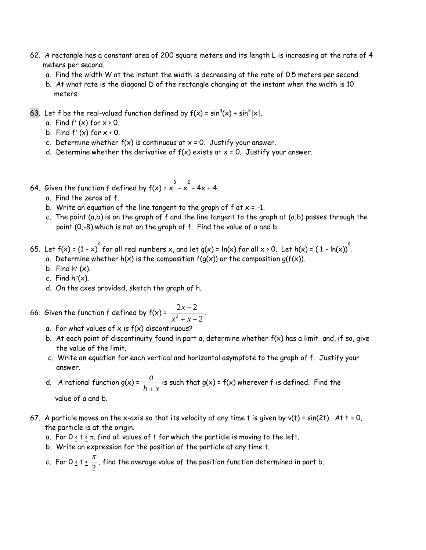- 62. A rectangle has a constant area of 200 square meters and its length L is increasing at the rate of 4 meters per second.
	- a. Find the width W at the instant the width is decreasing at the rate of 0.5 meters per second.
	- b. At what rate is the diagonal D of the rectangle changing at the instant when the width is 10 meters.
- 63. Let f be the real-valued function defined by  $f(x) = sin^3(x) + sin^3|x|$ .
	- a. Find  $f'(x)$  for  $x \ge 0$ .
	- b. Find  $f'(x)$  for  $x \times 0$ .
	- c. Determine whether  $f(x)$  is continuous at  $x = 0$ . Justify your answer.
	- d. Determine whether the derivative of  $f(x)$  exists at  $x = 0$ . Justify your answer.
- 64. Given the function  $f$  defined by  $f(x) = x^{\frac{3}{2}} x^{\frac{2}{2}} 4x + 4$ .
	- a. Find the zeros of f.
	- b. Write an equation of the line tangent to the graph of  $f$  at  $x = -1$ .
	- c. The point  $(a,b)$  is on the graph of f and the line tangent to the graph at  $(a,b)$  passes through the point (0,-8) which is not on the graph of f. Find the value of a and b.
- 65. Let  $f(x)$  = (1 x)  $^{2}$  for all real numbers x, and let g(x) = ln(x) for all x > 0. Let h(x) = ( 1 ln(x))  $^{2}$ .
	- a. Determine whether  $h(x)$  is the composition  $f(g(x))$  or the composition  $g(f(x))$ .
	- b. Find  $h'(x)$ .
	- c. Find  $h''(x)$ .
	- d. On the axes provided, sketch the graph of h.
- 66. Given the function f defined by f(x) =  $\frac{2x-2}{2}$  $x^2 + x - 2$ *x x x* Ξ  $\frac{x}{+x-2}$ .
	- a. For what values of  $x$  is  $f(x)$  discontinuous?
	- b. At each point of discontinuity found in part a, determine whether  $f(x)$  has a limit and, if so, give the value of the limit.
	- c. Write an equation for each vertical and horizontal asymptote to the graph of f. Justify your answer.
	- d. A rational function  $g(x) = \frac{a}{a}$  $\frac{a}{b+x}$  is such that g(x) = f(x) wherever f is defined. Find the

value of a and b.

- 67. A particle moves on the x-axis so that its velocity at any time t is given by  $v(t) = sin(2t)$ . At t = 0, the particle is at the origin.
	- a. For  $0 \lt t \lt \pi$ , find all values of t for which the particle is moving to the left.
	- b. Write an expression for the position of the particle at any time t.
	- c. For  $0 \leq t \leq \frac{\pi}{2}$  $\frac{\tau}{2}$  , find the average value of the position function determined in part b.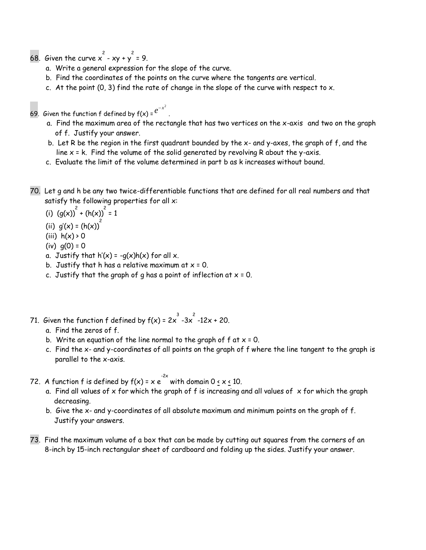- 68. Given the curve  $x^2 xy + y^2 = 9$ .
	- a. Write a general expression for the slope of the curve.
	- b. Find the coordinates of the points on the curve where the tangents are vertical.

.

c. At the point  $(0, 3)$  find the rate of change in the slope of the curve with respect to x.

69. Given the function f defined by f(x) =  $e^{-x^2}$ 

- a. Find the maximum area of the rectangle that has two vertices on the x-axis and two on the graph of f. Justify your answer.
- b. Let R be the region in the first quadrant bounded by the x- and y-axes, the graph of f, and the line  $x = k$ . Find the volume of the solid generated by revolving R about the y-axis.
- c. Evaluate the limit of the volume determined in part b as k increases without bound.
- 70. Let g and h be any two twice-differentiable functions that are defined for all real numbers and that satisfy the following properties for all x:
	- (i)  $(g(x))^2 + (h(x))^2 = 1$
- (ii)  $g'(x) = (h(x))^2$ 
	- (iii)  $h(x) > 0$
	- $(iv) q(0) = 0$
	- a. Justify that  $h'(x) = -q(x)h(x)$  for all x.
	- b. Justify that h has a relative maximum at  $x = 0$ .
	- c. Justify that the graph of g has a point of inflection at  $x = 0$ .
- 71. Given the function f defined by f(x) = 2x  $^3$  -3x  $^2$  -12x + 20.
	- a. Find the zeros of f.
	- b. Write an equation of the line normal to the graph of  $f$  at  $x = 0$ .
	- c. Find the x- and y-coordinates of all points on the graph of f where the line tangent to the graph is parallel to the x-axis.
- 72. A function f is defined by  $f(x)$  = x  $e^{2x}$  with domain 0  $\le x \le 10$ .
	- a. Find all values of  $x$  for which the graph of f is increasing and all values of  $x$  for which the graph decreasing.
	- b. Give the x- and y-coordinates of all absolute maximum and minimum points on the graph of f. Justify your answers.
- 73. Find the maximum volume of a box that can be made by cutting out squares from the corners of an 8-inch by 15-inch rectangular sheet of cardboard and folding up the sides. Justify your answer.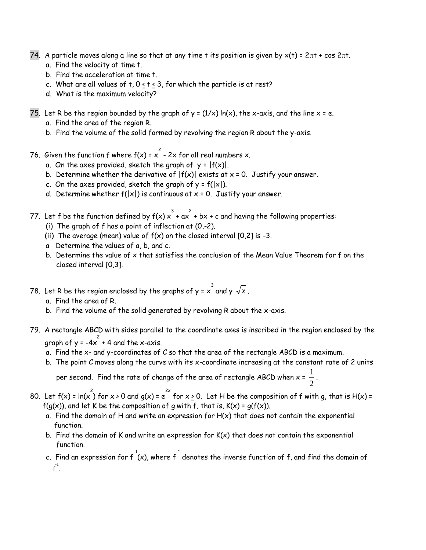- 74. A particle moves along a line so that at any time t its position is given by  $x(t) = 2\pi t + \cos 2\pi t$ .
	- a. Find the velocity at time t.
	- b. Find the acceleration at time t.
	- c. What are all values of  $t, 0 < t < 3$ , for which the particle is at rest?
	- d. What is the maximum velocity?
- 75. Let R be the region bounded by the graph of  $y = (1/x) \ln(x)$ , the x-axis, and the line  $x = e$ .
	- a. Find the area of the region R.
	- b. Find the volume of the solid formed by revolving the region R about the y-axis.
- 76. Given the function f where  $f(x)$  =  $x^2$  2x for all real numbers x.
	- a. On the axes provided, sketch the graph of  $y = |f(x)|$ .
	- b. Determine whether the derivative of  $|f(x)|$  exists at  $x = 0$ . Justify your answer.
	- c. On the axes provided, sketch the graph of  $y = f(|x|)$ .
	- d. Determine whether  $f(|x|)$  is continuous at  $x = 0$ . Justify your answer.
- 77. Let f be the function defined by  $f(x) \, x^{3}$  + ax  $^{2}$  + bx + c and having the following properties:
	- (i) The graph of f has a point of inflection at (0,-2).
	- (ii) The average (mean) value of  $f(x)$  on the closed interval  $[0,2]$  is -3.
	- a Determine the values of a, b, and c.
	- b. Determine the value of x that satisfies the conclusion of the Mean Value Theorem for f on the closed interval [0,3].
- 78. Let R be the region enclosed by the graphs of y =  $\mathsf{x}$   $\overset{3}{\mathsf{s}}$  and y  $\sqrt{\mathsf{x}}$  .
	- a. Find the area of R.
	- b. Find the volume of the solid generated by revolving R about the x-axis.
- 79. A rectangle ABCD with sides parallel to the coordinate axes is inscribed in the region enclosed by the graph of y = -4x  $^{2}$  + 4 and the x-axis.
	- a. Find the x- and y-coordinates of C so that the area of the rectangle ABCD is a maximum.
	- b. The point C moves along the curve with its x-coordinate increasing at the constant rate of 2 units

per second. Find the rate of change of the area of rectangle ABCD when  $\mathsf{x} = \frac{1}{\mathsf{x}}$  $\frac{1}{2}$ .

- 80. Let  $f(x)$  = ln(x  $\int_{0}^{2}$  for x > 0 and g(x) = e  $e^{2x}$  for x <u>></u> 0. Let H be the composition of f with g, that is H(x) =  $f(g(x))$ , and let K be the composition of g with f, that is,  $K(x) = g(f(x))$ .
	- a. Find the domain of H and write an expression for  $H(x)$  that does not contain the exponential function.
	- b. Find the domain of K and write an expression for  $K(x)$  that does not contain the exponential function.
	- c. Find an expression for  $f^{\text{-}1}(x)$ , where  $f^{\text{-}1}$  denotes the inverse function of  $f$ , and find the domain of  $-\tilde{f}^1$ .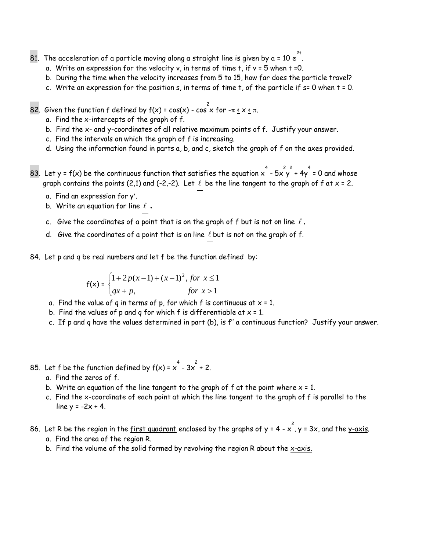- 81. The acceleration of a particle moving along a straight line is given by a = 10  $e^{2t}$  .
	- a. Write an expression for the velocity v, in terms of time t, if v = 5 when t =0.
	- b. During the time when the velocity increases from 5 to 15, how far does the particle travel?
	- c. Write an expression for the position  $s$ , in terms of time  $t$ , of the particle if  $s=0$  when  $t=0$ .

82. Given the function f defined by f(x) = cos(x) - cos  $\frac{2}{x}$  for - $\pi$  <u>< x <</u>  $\pi$ .

- a. Find the x-intercepts of the graph of f.
- b. Find the x- and y-coordinates of all relative maximum points of f. Justify your answer.
- c. Find the intervals on which the graph of f is increasing.
- d. Using the information found in parts a, b, and c, sketch the graph of f on the axes provided.
- 83. Let y = f(x) be the continuous function that satisfies the equation x  $\rightarrow$  5x y  $\rightarrow$  4y = 0 and whose graph contains the points (2,1) and (-2,-2). Let  $\ell$  be the line tangent to the graph of f at  $\times$  = 2.
	- a. Find an expression for y.
	- b. Write an equation for line  $\ell$  .
	- c. Give the coordinates of a point that is on the graph of  $f$  but is not on line  $\ell$  .
	- d. Give the coordinates of a point that is on line  $\ell$  but is not on the graph of f.

84. Let p and q be real numbers and let f be the function defined by:

$$
f(x) = \begin{cases} 1 + 2p(x - 1) + (x - 1)^2, \text{ for } x \le 1 \\ qx + p, & \text{for } x > 1 \end{cases}
$$

- a. Find the value of q in terms of p, for which f is continuous at  $x = 1$ .
- b. Find the values of p and q for which f is differentiable at  $x = 1$ .
- c. If p and q have the values determined in part (b), is f′′ a continuous function? Justify your answer.
- 85. Let f be the function defined by  $f(x) = x^4 3x^2 + 2$ .
	- a. Find the zeros of f.
	- b. Write an equation of the line tangent to the graph of  $f$  at the point where  $x = 1$ .
	- c. Find the x-coordinate of each point at which the line tangent to the graph of f is parallel to the line  $y = -2x + 4$ .
- 86. Let R be the region in the <u>first quadrant</u> enclosed by the graphs of y = 4 x  $\,$  , y = 3x, and the <u>y-axis</u>. a. Find the area of the region R.
	- b. Find the volume of the solid formed by revolving the region R about the x-axis.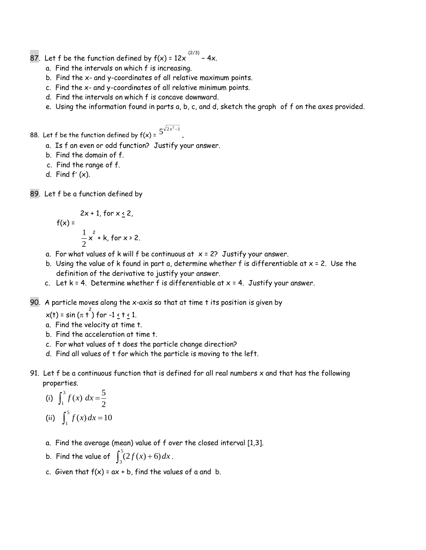- 87. Let f be the function defined by f(x) = 12x  $^{(2/3)}$  4x.
	- a. Find the intervals on which f is increasing.
	- b. Find the x- and y-coordinates of all relative maximum points.
	- c. Find the x- and y-coordinates of all relative minimum points.
	- d. Find the intervals on which f is concave downward.
	- e. Using the information found in parts a, b, c, and d, sketch the graph of f on the axes provided.

.

88. Let f be the function defined by  $f(x)$  =  $\frac{5^{\sqrt{2}x^2-1}}{2}$ 

- a. Is f an even or odd function? Justify your answer.
- b. Find the domain of f.
- c. Find the range of f.
- d. Find  $f'(x)$ .
- 89. Let f be a function defined by

$$
f(x) = \frac{2x + 1, \text{ for } x \le 2,}{\frac{1}{2}x^2 + k, \text{ for } x > 2.}
$$

- a. For what values of k will f be continuous at  $x = 2$ ? Justify your answer.
- b. Using the value of k found in part a, determine whether f is differentiable at  $x = 2$ . Use the definition of the derivative to justify your answer.
- c. Let  $k = 4$ . Determine whether f is differentiable at  $x = 4$ . Justify your answer.
- 90. A particle moves along the x-axis so that at time t its position is given by

x(t) = sin ( $\pi$  t<sup>2</sup>) for -1 <u><</u> t <u><</u> 1.

- a. Find the velocity at time t.
- b. Find the acceleration at time t.
- c. For what values of t does the particle change direction?
- d. Find all values of t for which the particle is moving to the left.
- 91. Let f be a continuous function that is defined for all real numbers x and that has the following properties.

(i) 
$$
\int_1^3 f(x) dx = \frac{5}{2}
$$
  
(ii)  $\int_1^5 f(x) dx = 10$ 

- a. Find the average (mean) value of f over the closed interval [1,3].
- b. Find the value of  $\int_{3}^{5} (2f(x) +$  $3(2f(x)+6)dx$ .
- c. Given that  $f(x) = ax + b$ , find the values of a and b.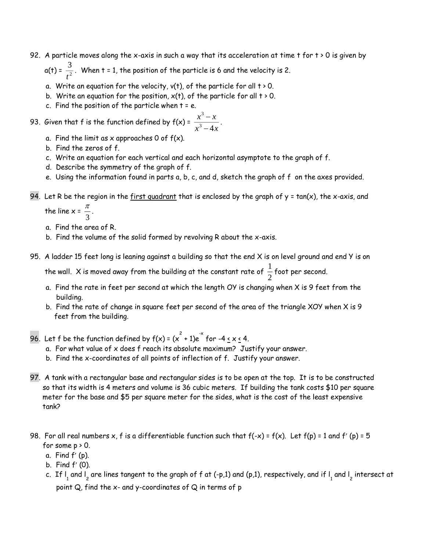92. A particle moves along the x-axis in such a way that its acceleration at time t for t > 0 is given by

 $a(t) = \frac{3}{2}$  $\frac{3}{t^2}$ . When t = 1, the position of the particle is 6 and the velocity is 2.

- a. Write an equation for the velocity,  $v(t)$ , of the particle for all  $t > 0$ .
- b. Write an equation for the position,  $x(t)$ , of the particle for all  $t > 0$ .
- c. Find the position of the particle when  $t = e$ .

93. Given that f is the function defined by  $f(x) = \frac{x^2 - x^2}{x^2}$  $x^2 - 4x$ 3  $3^3 - 4$ Ξ Ξ .

- a. Find the limit as  $x$  approaches 0 of  $f(x)$ .
- b. Find the zeros of f.
- c. Write an equation for each vertical and each horizontal asymptote to the graph of f.
- d. Describe the symmetry of the graph of f.
- e. Using the information found in parts a, b, c, and d, sketch the graph of f on the axes provided.
- 94. Let R be the region in the first quadrant that is enclosed by the graph of  $y = tan(x)$ , the x-axis, and the line  $x = \frac{\pi}{2}$

 $\frac{1}{3}$ .

- a. Find the area of R.
- b. Find the volume of the solid formed by revolving R about the x-axis.
- 95. A ladder 15 feet long is leaning against a building so that the end X is on level ground and end Y is on

the wall. X is moved away from the building at the constant rate of  $\frac{1}{\epsilon}$ 2 foot per second.

- a. Find the rate in feet per second at which the length OY is changing when X is 9 feet from the building.
- b. Find the rate of change in square feet per second of the area of the triangle XOY when X is 9 feet from the building.
- 96. Let f be the function defined by  $f(x) = (x^2 + 1)e^{-x}$  for -4 <u>< x <</u> 4.
	- a. For what value of x does f reach its absolute maximum? Justify your answer.
	- b. Find the x-coordinates of all points of inflection of f. Justify your answer.
- 97. A tank with a rectangular base and rectangular sides is to be open at the top. It is to be constructed so that its width is 4 meters and volume is 36 cubic meters. If building the tank costs \$10 per square meter for the base and \$5 per square meter for the sides, what is the cost of the least expensive tank?
- 98. For all real numbers x, f is a differentiable function such that  $f(-x) = f(x)$ . Let  $f(p) = 1$  and  $f'(p) = 5$ for some  $p \ge 0$ .
	- $a.$  Find  $f'$  (p).
	- b. Find  $f'(0)$ .
	- c. If  $\mathsf{l}_1$  and  $\mathsf{l}_2$  are lines tangent to the graph of f at (-p,1) and (p,1), respectively, and if  $\mathsf{l}_1$  and  $\mathsf{l}_2$  intersect at point Q, find the x- and y-coordinates of Q in terms of p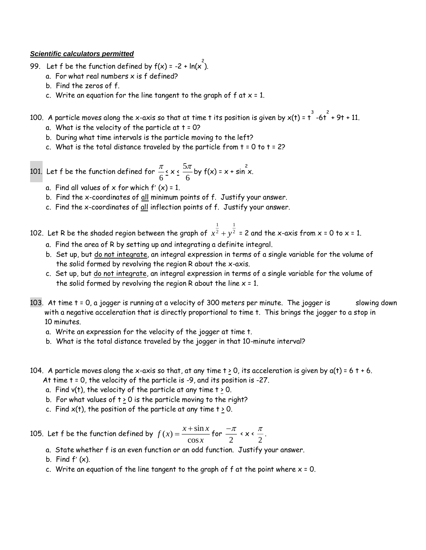#### *Scientific calculators permitted*

- 99. Let f be the function defined by  $f(x)$  = -2 + ln(x<sup>2</sup>).
	- a. For what real numbers  $x$  is  $f$  defined?
	- b. Find the zeros of f.
	- c. Write an equation for the line tangent to the graph of  $f$  at  $x = 1$ .
- 100. A particle moves along the x-axis so that at time t its position is given by  $\mathsf{x}(\mathsf{t})$  = t  $\overline{\phantom{a}^{3}}$  -6t  $\overline{\phantom{a}^{3}}$  + 9t + 11.
	- a. What is the velocity of the particle at  $t = 0$ ?
	- b. During what time intervals is the particle moving to the left?
	- c. What is the total distance traveled by the particle from  $t = 0$  to  $t = 2$ ?

101. Let f be the function defined for  $\frac{\pi}{4}$ 6  $\frac{5}{2}$  x  $\frac{5}{2}$ 6  $\frac{\pi}{\pi}$  by f(x) = x + sin<sup>2</sup>x.

- a. Find all values of  $x$  for which  $f'(x) = 1$ .
- b. Find the x-coordinates of all minimum points of f. Justify your answer.
- c. Find the x-coordinates of all inflection points of f. Justify your answer.
- 102. Let R be the shaded region between the graph of  $\,x^2 + y\,$ 2  $+ y^2$  = 2 and the x-axis from x = 0 to x = 1.
	- a. Find the area of R by setting up and integrating a definite integral.
	- b. Set up, but do not integrate, an integral expression in terms of a single variable for the volume of the solid formed by revolving the region R about the x-axis.

1

1

- c. Set up, but do not integrate, an integral expression in terms of a single variable for the volume of the solid formed by revolving the region R about the line  $x = 1$ .
- 103. At time t = 0, a jogger is running at a velocity of 300 meters per minute. The jogger is slowing down with a negative acceleration that is directly proportional to time t. This brings the jogger to a stop in 10 minutes.
	- a. Write an expression for the velocity of the jogger at time t.
	- b. What is the total distance traveled by the jogger in that 10-minute interval?
- 104. A particle moves along the x-axis so that, at any time  $t > 0$ , its acceleration is given by  $a(t) = 6 t + 6$ . At time t = 0, the velocity of the particle is -9, and its position is -27.
	- a. Find  $v(t)$ , the velocity of the particle at any time  $t \ge 0$ .
	- b. For what values of  $t \ge 0$  is the particle moving to the right?
	- c. Find  $x(t)$ , the position of the particle at any time  $t \ge 0$ .

105. Let f be the function defined by  $f(x) = \frac{x + \sin x}{x}$  $f(x) = \frac{x + \sin x}{\cos x}$ cos Ξ  $\frac{+\sin x}{-\pi}$  for  $\frac{-\pi}{-\pi}$  $\frac{-\pi}{2}$  < x <  $\frac{\pi}{2}$  $\frac{1}{2}$ .

- a. State whether f is an even function or an odd function. Justify your answer.
- b. Find  $f'(x)$ .
- c. Write an equation of the line tangent to the graph of  $f$  at the point where  $x = 0$ .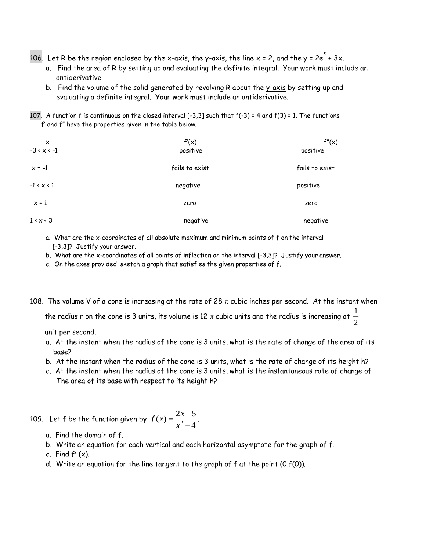- 106. Let R be the region enclosed by the x-axis, the y-axis, the line x = 2, and the y = 2e  $\stackrel{\times}{\,}$  + 3x.
	- a. Find the area of R by setting up and evaluating the definite integral. Your work must include an antiderivative.
	- b. Find the volume of the solid generated by revolving R about the y-axis by setting up and evaluating a definite integral. Your work must include an antiderivative.
- 107. A function f is continuous on the closed interval [-3,3] such that f(-3) = 4 and f(3) = 1. The functions f' and f" have the properties given in the table below.

| $\times$               | f'(x)          | f''(x)         |  |  |
|------------------------|----------------|----------------|--|--|
| $-3 < x < -1$          | positive       | positive       |  |  |
| $x = -1$               | fails to exist | fails to exist |  |  |
| $-1 \times x \times 1$ | negative       | positive       |  |  |
| $x = 1$                | zero           | zero           |  |  |
| $1 \times x \times 3$  | negative       | negative       |  |  |

- a. What are the x-coordinates of all absolute maximum and minimum points of f on the interval [-3,3]? Justify your answer.
- b. What are the x-coordinates of all points of inflection on the interval [-3,3]? Justify your answer.
- c. On the axes provided, sketch a graph that satisfies the given properties of f.
- 108. The volume V of a cone is increasing at the rate of 28  $\pi$  cubic inches per second. At the instant when

the radius r on the cone is 3 units, its volume is 12  $\pi$  cubic units and the radius is increasing at  $\frac{1}{\pi}$ 2

unit per second.

- a. At the instant when the radius of the cone is 3 units, what is the rate of change of the area of its base?
- b. At the instant when the radius of the cone is 3 units, what is the rate of change of its height h?
- c. At the instant when the radius of the cone is 3 units, what is the instantaneous rate of change of The area of its base with respect to its height h?

109. Let f be the function given by  $f(x) = \frac{2x}{x^2}$ *x*  $(x) = \frac{2x-}{2}$ - $2x - 5$  $\frac{x}{2-4}$ 

- a. Find the domain of f.
- b. Write an equation for each vertical and each horizontal asymptote for the graph of f.
- c. Find  $f'(x)$ .
- d. Write an equation for the line tangent to the graph of f at the point (0,f(0)).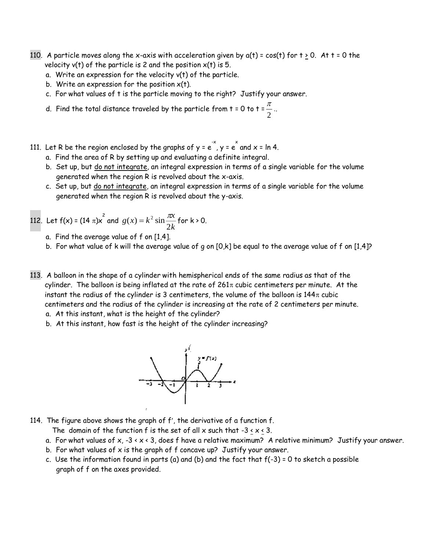- 110. A particle moves along the x-axis with acceleration given by  $a(t) = cos(t)$  for  $t \ge 0$ . At  $t = 0$  the velocity  $v(t)$  of the particle is 2 and the position  $x(t)$  is 5.
	- a. Write an expression for the velocity v(t) of the particle.
	- b. Write an expression for the position  $x(t)$ .
	- c. For what values of t is the particle moving to the right? Justify your answer.
	- d. Find the total distance traveled by the particle from t = 0 to t =  $\frac{\pi}{4}$  $\frac{1}{2}$ ..
- 111. Let R be the region enclosed by the graphs of y = e  $\checkmark$  , y = e  $\checkmark$  and x = ln 4.
	- a. Find the area of R by setting up and evaluating a definite integral.
	- b. Set up, but do not integrate, an integral expression in terms of a single variable for the volume generated when the region R is revolved about the x-axis.
	- c. Set up, but do not integrate, an integral expression in terms of a single variable for the volume generated when the region R is revolved about the y-axis.

112. Let 
$$
f(x) = (14 \pi)x^2
$$
 and  $g(x) = k^2 \sin \frac{\pi x}{2k}$  for  $k > 0$ .

- a. Find the average value of f on [1,4].
- b. For what value of k will the average value of g on [0,k] be equal to the average value of f on [1,4]?
- 113. A balloon in the shape of a cylinder with hemispherical ends of the same radius as that of the cylinder. The balloon is being inflated at the rate of  $261\pi$  cubic centimeters per minute. At the instant the radius of the cylinder is 3 centimeters, the volume of the balloon is  $144\pi$  cubic centimeters and the radius of the cylinder is increasing at the rate of 2 centimeters per minute.
	- a. At this instant, what is the height of the cylinder?
	- b. At this instant, how fast is the height of the cylinder increasing?



114. The figure above shows the graph of  $f'$ , the derivative of a function  $f$ .

The domain of the function f is the set of all x such that  $-3 \le x \le 3$ .

- a. For what values of  $x$ ,  $-3 \times x \times 3$ , does f have a relative maximum? A relative minimum? Justify your answer.
- b. For what values of  $x$  is the graph of  $f$  concave up? Justify your answer.
- c. Use the information found in parts (a) and (b) and the fact that  $f(-3) = 0$  to sketch a possible graph of f on the axes provided.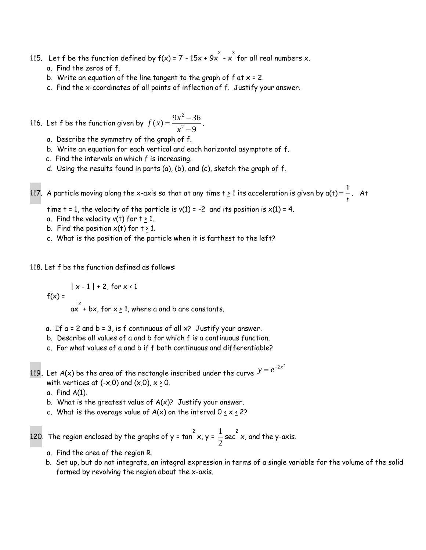- 115. Let  $f$  be the function defined by  $f(x)$  = 7 15x + 9x  $^{2}$  x  $^{3}$  for all real numbers x. a. Find the zeros of f.
	- b. Write an equation of the line tangent to the graph of  $f$  at  $x = 2$ .
	- c. Find the x-coordinates of all points of inflection of f. Justify your answer.

116. Let  $f$  be the function given by  $f(x) = \frac{9x}{x}$  $f(x) = \frac{3x-1}{x^2-1}$ Ξ  $9x^2 - 36$ 9 2  $\frac{1}{2}$ .

- a. Describe the symmetry of the graph of f.
- b. Write an equation for each vertical and each horizontal asymptote of f.
- c. Find the intervals on which f is increasing.
- d. Using the results found in parts (a), (b), and (c), sketch the graph of f.

117. A particle moving along the x-axis so that at any time t <u>></u> 1 its acceleration is given by a(t)=  $\frac{1}{\tau}$ *t* . At

time  $t = 1$ , the velocity of the particle is  $v(1) = -2$  and its position is  $x(1) = 4$ .

- a. Find the velocity v(t) for  $t \geq 1$ .
- b. Find the position  $x(t)$  for  $t > 1$ .
- c. What is the position of the particle when it is farthest to the left?

118. Let f be the function defined as follows:

 $|x - 1| + 2$ , for  $x < 1$  $f(x) =$ 

 $\alpha$ <sup>2</sup> + bx, for x <u>></u> 1, where a and b are constants.

- a. If  $a = 2$  and  $b = 3$ , is f continuous of all  $x$ ? Justify your answer.
- b. Describe all values of a and b for which f is a continuous function.
- c. For what values of a and b if f both continuous and differentiable?
- 119. Let A(x) be the area of the rectangle inscribed under the curve  $y = e^{-2x^2}$ with vertices at (-x,0) and (x,0),  $x \ge 0$ .
	- a. Find A(1).
	- b. What is the greatest value of  $A(x)$ ? Justify your answer.
	- c. What is the average value of  $A(x)$  on the interval 0  $\leq$  x  $\leq$  2?

120. The region enclosed by the graphs of y = tan  $^2$  x, y =  $\frac{1}{2}$  $\frac{1}{2}$  sec  $^2$  x, and the y-axis.

- a. Find the area of the region R.
- b. Set up, but do not integrate, an integral expression in terms of a single variable for the volume of the solid formed by revolving the region about the x-axis.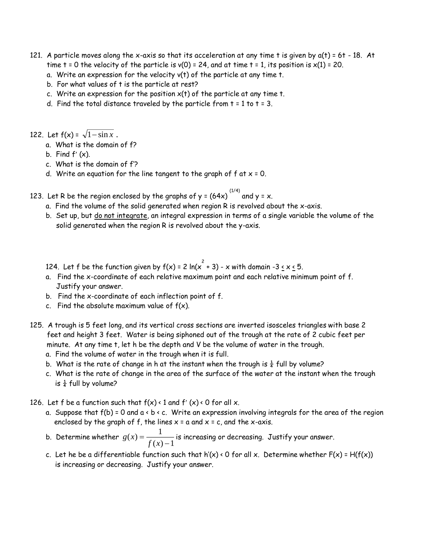- 121. A particle moves along the x-axis so that its acceleration at any time t is given by a(t) = 6t 18. At time  $t = 0$  the velocity of the particle is  $v(0) = 24$ , and at time  $t = 1$ , its position is  $x(1) = 20$ .
	- a. Write an expression for the velocity v(t) of the particle at any time t.
	- b. For what values of t is the particle at rest?
	- c. Write an expression for the position  $x(t)$  of the particle at any time t.
	- d. Find the total distance traveled by the particle from  $t = 1$  to  $t = 3$ .

122. Let  $f(x) = \sqrt{1 - \sin x}$ .

- a. What is the domain of f?
- b. Find  $f'(x)$ .
- c. What is the domain of f'?
- d. Write an equation for the line tangent to the graph of  $f$  at  $x = 0$ .

123. Let R be the region enclosed by the graphs of y = (64x)  $^{(1/4)}$  and y = x.

- a. Find the volume of the solid generated when region R is revolved about the x-axis.
- b. Set up, but do not integrate, an integral expression in terms of a single variable the volume of the solid generated when the region R is revolved about the y-axis.
- 124. Let  $f$  be the function given by  $f(x)$  = 2 ln( $x^2 + 3$ ) x with domain -3  $\le x \le 5$ .
- a. Find the x-coordinate of each relative maximum point and each relative minimum point of f. Justify your answer.
- b. Find the x-coordinate of each inflection point of f.
- c. Find the absolute maximum value of  $f(x)$ .
- 125. A trough is 5 feet long, and its vertical cross sections are inverted isosceles triangles with base 2 feet and height 3 feet. Water is being siphoned out of the trough at the rate of 2 cubic feet per minute. At any time t, let h be the depth and V be the volume of water in the trough.
	- a. Find the volume of water in the trough when it is full.
	- b. What is the rate of change in h at the instant when the trough is  $\frac{1}{4}$  full by volume?
	- c. What is the rate of change in the area of the surface of the water at the instant when the trough is  $\frac{1}{4}$  full by volume?
- 126. Let f be a function such that  $f(x) \cdot 1$  and  $f'(x) \cdot 0$  for all x.
	- a. Suppose that  $f(b) = 0$  and  $a \leftarrow b \leftarrow c$ . Write an expression involving integrals for the area of the region enclosed by the graph of f, the lines  $x = a$  and  $x = c$ , and the x-axis.
	- b. Determine whether  $g(x) = \frac{1}{f(x)}$  $\left( x\right)$  $=\frac{}{f(x)}$ 1 – is increasing or decreasing. Justify your answer.<br>1
	- c. Let he be a differentiable function such that h'(x) < 0 for all x. Determine whether  $F(x) = H(f(x))$ is increasing or decreasing. Justify your answer.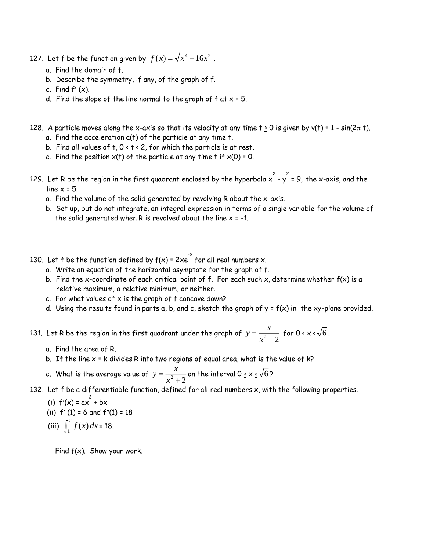- 127. Let f be the function given by  $f(x) = \sqrt{x^4 16x^2}$  .
	- a. Find the domain of f.
	- b. Describe the symmetry, if any, of the graph of f.
	- c. Find  $f'(x)$ .
	- d. Find the slope of the line normal to the graph of  $f$  at  $x = 5$ .
- 128. A particle moves along the x-axis so that its velocity at any time  $t \ge 0$  is given by v(t) = 1 sin( $2\pi$  t). a. Find the acceleration a(t) of the particle at any time t.
	- b. Find all values of  $t$ ,  $0 < t < 2$ , for which the particle is at rest.
	- c. Find the position  $x(t)$  of the particle at any time t if  $x(0) = 0$ .
- 129. Let R be the region in the first quadrant enclosed by the hyperbola  $\chi^2$   $\chi^2$  = 9, the x-axis, and the line  $x = 5$ .
	- a. Find the volume of the solid generated by revolving R about the x-axis.
	- b. Set up, but do not integrate, an integral expression in terms of a single variable for the volume of the solid generated when R is revolved about the line  $x = -1$ .
- 130. Let f be the function defined by  $f(x)$  = 2xe  $\check{ }$  for all real numbers x.
	- a. Write an equation of the horizontal asymptote for the graph of f.
	- b. Find the x-coordinate of each critical point of f. For each such x, determine whether  $f(x)$  is a relative maximum, a relative minimum, or neither.
	- c. For what values of  $x$  is the graph of  $f$  concave down?
	- d. Using the results found in parts a, b, and c, sketch the graph of  $y = f(x)$  in the xy-plane provided.

131. Let R be the region in the first quadrant under the graph of  $y=\frac{x}{2}$ *x*  $=\frac{R}{x^2+2}$  for 0 <u>< x <</u>  $\sqrt{6}$ .

- a. Find the area of R.
- b. If the line  $x = k$  divides R into two regions of equal area, what is the value of  $k$ ?

c. What is the average value of  $y = \frac{x}{2}$ *x*  $=\frac{1}{x^2+2}$  on the interval 0 <u>< x <</u> √6 ?

132. Let f be a differentiable function, defined for all real numbers x, with the following properties.

(i)  $f'(x) = ax^2 + bx$ (ii)  $f'(1) = 6$  and  $f''(1) = 18$ (iii)  $\int_1^2$  $\int_1^1 f(x) dx = 18.$ 

Find  $f(x)$ . Show your work.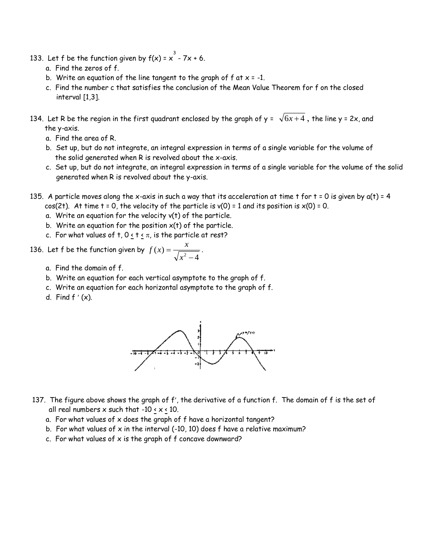- 133. Let f be the function given by  $f(x)$  =  $x^3$  7x + 6.
	- a. Find the zeros of f.
	- b. Write an equation of the line tangent to the graph of  $f$  at  $x = -1$ .
	- c. Find the number c that satisfies the conclusion of the Mean Value Theorem for f on the closed interval [1,3].
- 134. Let R be the region in the first quadrant enclosed by the graph of y =  $\,\sqrt{6x+4}$  , the line y = 2x, and the y-axis.
	- a. Find the area of R.
	- b. Set up, but do not integrate, an integral expression in terms of a single variable for the volume of the solid generated when R is revolved about the x-axis.
	- c. Set up, but do not integrate, an integral expression in terms of a single variable for the volume of the solid generated when R is revolved about the y-axis.
- 135. A particle moves along the x-axis in such a way that its acceleration at time t for  $t = 0$  is given by  $a(t) = 4$ cos(2t). At time  $t = 0$ , the velocity of the particle is  $v(0) = 1$  and its position is  $x(0) = 0$ .
	- a. Write an equation for the velocity v(t) of the particle.
	- b. Write an equation for the position  $x(t)$  of the particle.
	- c. For what values of t,  $0 \le t \le \pi$ , is the particle at rest?
- 136. Let f be the function given by  $f(x) = \frac{x}{\sqrt{2}}$ *x*  $(x) =$  $2^2 - 4$ .
	- a. Find the domain of f.
	- b. Write an equation for each vertical asymptote to the graph of f.
	- c. Write an equation for each horizontal asymptote to the graph of f.
	- d. Find  $f'(x)$ .



- 137. The figure above shows the graph of f', the derivative of a function f. The domain of f is the set of all real numbers  $x$  such that  $-10 \times x \times 10$ .
	- a. For what values of x does the graph of f have a horizontal tangent?
	- b. For what values of  $x$  in the interval (-10, 10) does f have a relative maximum?
	- c. For what values of  $x$  is the graph of  $f$  concave downward?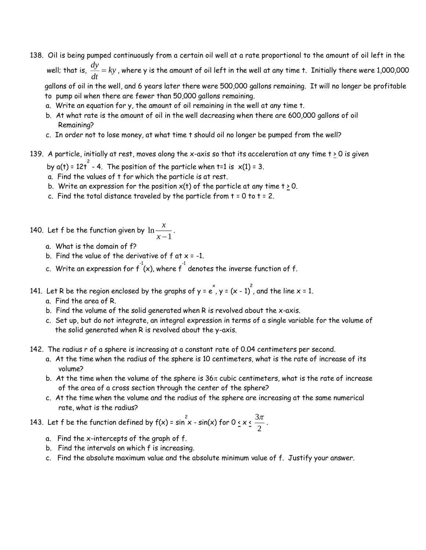138. Oil is being pumped continuously from a certain oil well at a rate proportional to the amount of oil left in the well; that is, *dy*  $\frac{dy}{dt}$  =  $ky$  , where y is the amount of oil left in the well at any time t. Initially there were 1,000,000  $dt$ 

 gallons of oil in the well, and 6 years later there were 500,000 gallons remaining. It will no longer be profitable to pump oil when there are fewer than 50,000 gallons remaining.

- a. Write an equation for y, the amount of oil remaining in the well at any time t.
- b. At what rate is the amount of oil in the well decreasing when there are 600,000 gallons of oil Remaining?
- c. In order not to lose money, at what time t should oil no longer be pumped from the well?
- 139. A particle, initially at rest, moves along the x-axis so that its acceleration at any time t  $\geq$  0 is given
- by a(t) = 12t  $^{-2}$  4. The position of the particle when t=1 is  $\times$ (1) = 3.
	- a. Find the values of t for which the particle is at rest.
	- b. Write an expression for the position  $x(t)$  of the particle at any time  $t \ge 0$ .
	- c. Find the total distance traveled by the particle from  $t = 0$  to  $t = 2$ .
- 140. Let f be the function given by  $\ln\stackrel{\cal X}{-}$  $\frac{x}{x-1}$ .
	- a. What is the domain of f?
	- b. Find the value of the derivative of  $f$  at  $x = -1$ .
	- c. Write an expression for  $f^{\text{-}1}(\mathsf{x})$ , where  $f^{\text{-}1}$  denotes the inverse function of  $f$ .
- 141. Let R be the region enclosed by the graphs of y = e  $\checkmark$  , y = (x 1)  $\checkmark$  , and the line x = 1.
	- a. Find the area of R.
	- b. Find the volume of the solid generated when R is revolved about the x-axis.
	- c. Set up, but do not integrate, an integral expression in terms of a single variable for the volume of the solid generated when R is revolved about the y-axis.
- 142. The radius r of a sphere is increasing at a constant rate of 0.04 centimeters per second.
	- a. At the time when the radius of the sphere is 10 centimeters, what is the rate of increase of its volume?
	- b. At the time when the volume of the sphere is  $36\pi$  cubic centimeters, what is the rate of increase of the area of a cross section through the center of the sphere?
	- c. At the time when the volume and the radius of the sphere are increasing at the same numerical rate, what is the radius?

#### 143. Let f be the function defined by  $f(x)$  =  $\sin^2 x$  -  $\sin(x)$  for 0  $\le x \le \frac{3}{2}$ 2  $\frac{\pi}{\pi}$  .

- a. Find the x-intercepts of the graph of f.
- b. Find the intervals on which f is increasing.
- c. Find the absolute maximum value and the absolute minimum value of f. Justify your answer.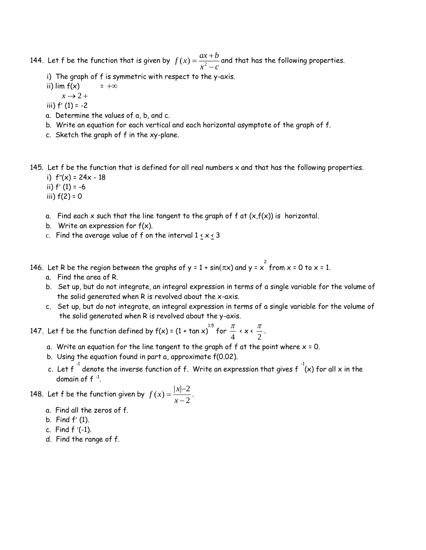144. Let f be the function that is given by  $f(x) = \frac{ax+b}{2}$  $f(x) = \frac{ax+b}{x^2-c}$  $\frac{1}{2}$  and that has the following properties.

- i) The graph of f is symmetric with respect to the y-axis.
- ii) lim  $f(x)$  $= +\infty$
- $x \rightarrow 2 +$
- iii)  $f'(1) = -2$
- a. Determine the values of a, b, and c.
- b. Write an equation for each vertical and each horizontal asymptote of the graph of f.
- c. Sketch the graph of f in the xy-plane.

145. Let  $f$  be the function that is defined for all real numbers  $x$  and that has the following properties.

- i)  $f''(x) = 24x 18$
- ii)  $f'(1) = -6$
- iii)  $f(2) = 0$
- a. Find each x such that the line tangent to the graph of  $f$  at  $(x,f(x))$  is horizontal.
- b. Write an expression for  $f(x)$ .
- c. Find the average value of f on the interval  $1 \le x \le 3$
- 146. Let R be the region between the graphs of y = 1 + sin( $\pi x$ ) and y =  $x^{2}$  from x = 0 to x = 1.
	- a. Find the area of R.
	- b. Set up, but do not integrate, an integral expression in terms of a single variable for the volume of the solid generated when R is revolved about the x-axis.
	- c. Set up, but do not integrate, an integral expression in terms of a single variable for the volume of the solid generated when R is revolved about the y-axis.

147. Let f be the function defined by f(x) = (1 + tan x)  $^{1.5}$  for  $\frac{\pi}{4}$  $\frac{\pi}{4}$  < x <  $\frac{\pi}{2}$  $\frac{\pi}{2}$ .

- a. Write an equation for the line tangent to the graph of  $f$  at the point where  $x = 0$ .
- b. Using the equation found in part a, approximate f(0.02).
- c. Let  $f^{-1}$  denote the inverse function of  $f$ . Write an expression that gives  $f^{-1}(x)$  for all  $x$  in the domain of  $f^{-1}$ .

148. Let f be the function given by  $f(x) = \frac{|x|}{|x|}$ *x*  $(x) = \frac{|x|}{ }$ -2  $\frac{1}{2}$ .

- a. Find all the zeros of f.
- b. Find  $f'(1)$ .
- c. Find  $f'(-1)$ .
- d. Find the range of f.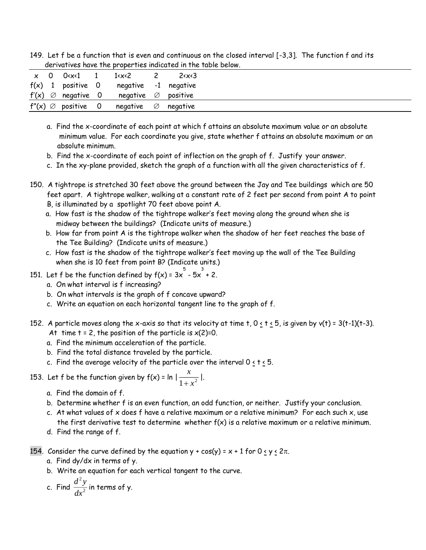149. Let f be a function that is even and continuous on the closed interval [-3,3]. The function f and its derivatives have the properties indicated in the table below.

|  | x 0 0 <x<1 1="" 1<x<2<="" th=""><th></th><th>2 &lt; x &lt; 3</th></x<1> |                                                         | 2 < x < 3 |
|--|-------------------------------------------------------------------------|---------------------------------------------------------|-----------|
|  |                                                                         | $f(x)$ 1 positive 0 negative -1 negative                |           |
|  |                                                                         | $f'(x) \oslash$ negative 0 negative $\oslash$ positive  |           |
|  |                                                                         | $f''(x) \oslash$ positive 0 negative $\oslash$ negative |           |

- a. Find the x-coordinate of each point at which f attains an absolute maximum value or an absolute minimum value. For each coordinate you give, state whether f attains an absolute maximum or an absolute minimum.
- b. Find the x-coordinate of each point of inflection on the graph of f. Justify your answer.
- c. In the xy-plane provided, sketch the graph of a function with all the given characteristics of f.
- 150. A tightrope is stretched 30 feet above the ground between the Jay and Tee buildings which are 50 feet apart. A tightrope walker, walking at a constant rate of 2 feet per second from point A to point B, is illuminated by a spotlight 70 feet above point A.
	- a. How fast is the shadow of the tightrope walker's feet moving along the ground when she is midway between the buildings? (Indicate units of measure.)
	- b. How far from point A is the tightrope walker when the shadow of her feet reaches the base of the Tee Building? (Indicate units of measure.)
	- c. How fast is the shadow of the tightrope walker's feet moving up the wall of the Tee Building when she is 10 feet from point B? (Indicate units.)
- 151. Let f be the function defined by  $f(x)$  = 3x  $\stackrel{5}{\rule{0pt}{0pt}}$  5x  $\stackrel{3}{\rule{0pt}{0pt}}$  + 2.
	- a. On what interval is f increasing?
	- b. On what intervals is the graph of f concave upward?
	- c. Write an equation on each horizontal tangent line to the graph of f.
- 152. A particle moves along the x-axis so that its velocity at time t,  $0 \le t \le 5$ , is given by v(t) = 3(t-1)(t-3). At time  $t = 2$ , the position of the particle is  $x(2)=0$ .
	- a. Find the minimum acceleration of the particle.
	- b. Find the total distance traveled by the particle.
	- c. Find the average velocity of the particle over the interval 0  $\leq$  t  $\leq$  5.

153. Let f be the function given by 
$$
f(x) = \ln |\frac{x}{1 + x^2}|
$$
.

- a. Find the domain of f.
- b. Determine whether f is an even function, an odd function, or neither. Justify your conclusion.
- c. At what values of  $x$  does f have a relative maximum or a relative minimum? For each such  $x$ , use the first derivative test to determine whether  $f(x)$  is a relative maximum or a relative minimum.
- d. Find the range of f.
- 154. Consider the curve defined by the equation  $y + cos(y) = x + 1$  for  $0 \le y \le 2\pi$ .
	- a. Find dy/dx in terms of y.
	- b. Write an equation for each vertical tangent to the curve.

c. Find 
$$
\frac{d^2y}{dx^2}
$$
 in terms of y.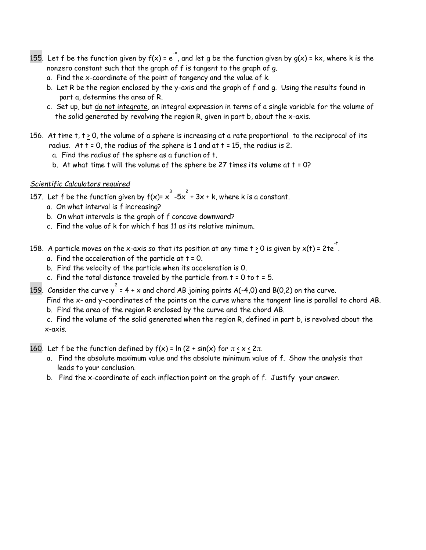- 155. Let f be the function given by f(x) = e  $\check{~}$  , and let g be the function given by g(x) = kx, where k is the nonzero constant such that the graph of f is tangent to the graph of g.
	- a. Find the x-coordinate of the point of tangency and the value of k.
	- b. Let R be the region enclosed by the y-axis and the graph of f and g. Using the results found in part a, determine the area of R.
	- c. Set up, but do not integrate, an integral expression in terms of a single variable for the volume of the solid generated by revolving the region R, given in part b, about the x-axis.
- 156. At time  $t$ ,  $t > 0$ , the volume of a sphere is increasing at a rate proportional to the reciprocal of its radius. At  $t = 0$ , the radius of the sphere is 1 and at  $t = 15$ , the radius is 2.
	- a. Find the radius of the sphere as a function of t.
	- b. At what time t will the volume of the sphere be 27 times its volume at  $t = 0$ ?

#### *Scientific Calculators required*

- 157. Let f be the function given by  $f(x)=x^3-5x^2+3x$  + k, where k is a constant.
	- a. On what interval is f increasing?
	- b. On what intervals is the graph of f concave downward?
	- c. Find the value of k for which f has 11 as its relative minimum.
- 158. A particle moves on the x-axis so that its position at any time t  $\geq$  0 is given by x(t) = 2te  $\overline{\phantom{a}}$  .
	- a. Find the acceleration of the particle at  $t = 0$ .
	- b. Find the velocity of the particle when its acceleration is 0.
	- c. Find the total distance traveled by the particle from  $t = 0$  to  $t = 5$ .
- 159. Consider the curve  $y^2 = 4 + x$  and chord AB joining points A(-4,0) and B(0,2) on the curve.

Find the x- and y-coordinates of the points on the curve where the tangent line is parallel to chord AB.

b. Find the area of the region R enclosed by the curve and the chord AB.

c. Find the volume of the solid generated when the region R, defined in part b, is revolved about the x-axis.

160. Let f be the function defined by  $f(x) = \ln(2 + \sin(x))$  for  $\pi \le x \le 2\pi$ .

- a. Find the absolute maximum value and the absolute minimum value of f. Show the analysis that leads to your conclusion.
- b. Find the x-coordinate of each inflection point on the graph of f. Justify your answer.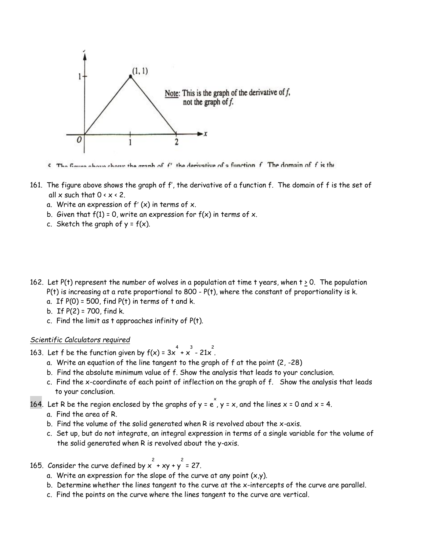

 $\epsilon$  The figure above chose the graph of f' the derivative of a function f. The domain of f is the

- 161. The figure above shows the graph of f', the derivative of a function f. The domain of f is the set of all  $x$  such that  $0 \le x \le 2$ .
	- a. Write an expression of  $f'(x)$  in terms of x.
	- b. Given that  $f(1) = 0$ , write an expression for  $f(x)$  in terms of x.
	- c. Sketch the graph of  $y = f(x)$ .
- 162. Let  $P(t)$  represent the number of wolves in a population at time t years, when  $t > 0$ . The population  $P(t)$  is increasing at a rate proportional to 800 -  $P(t)$ , where the constant of proportionality is k.
	- a. If  $P(0) = 500$ , find  $P(t)$  in terms of t and k.
	- b. If  $P(2) = 700$ , find k.
	- c. Find the limit as t approaches infinity of P(t).

#### *Scientific Calculators required*

- 163. Let f be the function given by  $f(x) = 3x^4 + x^3 21x^2$ .
	- a. Write an equation of the line tangent to the graph of f at the point (2, -28)
	- b. Find the absolute minimum value of f. Show the analysis that leads to your conclusion.
	- c. Find the x-coordinate of each point of inflection on the graph of f. Show the analysis that leads to your conclusion.

164. Let R be the region enclosed by the graphs of y = e  $\rangle$  y = x, and the lines x = 0 and x = 4.

- a. Find the area of R.
- b. Find the volume of the solid generated when R is revolved about the x-axis.
- c. Set up, but do not integrate, an integral expression in terms of a single variable for the volume of the solid generated when R is revolved about the y-axis.
- 165. Consider the curve defined by  $x^2 + xy + y^2 = 27$ .
	- a. Write an expression for the slope of the curve at any point  $(x,y)$ .
	- b. Determine whether the lines tangent to the curve at the x-intercepts of the curve are parallel.
	- c. Find the points on the curve where the lines tangent to the curve are vertical.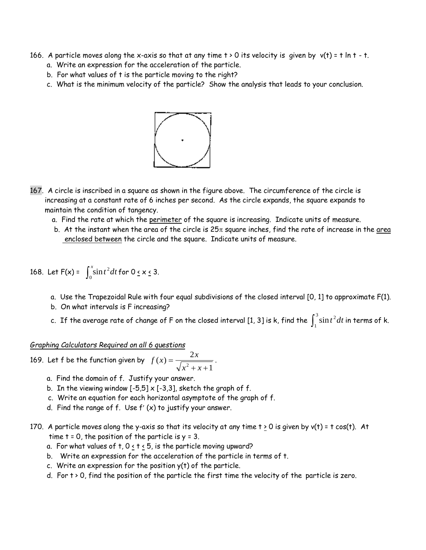- 166. A particle moves along the x-axis so that at any time  $t > 0$  its velocity is given by  $v(t) = t \ln t t$ .
	- a. Write an expression for the acceleration of the particle.
	- b. For what values of t is the particle moving to the right?
	- c. What is the minimum velocity of the particle? Show the analysis that leads to your conclusion.



- 167. A circle is inscribed in a square as shown in the figure above. The circumference of the circle is increasing at a constant rate of 6 inches per second. As the circle expands, the square expands to maintain the condition of tangency.
	- a. Find the rate at which the perimeter of the square is increasing. Indicate units of measure.
	- b. At the instant when the area of the circle is  $25\pi$  square inches, find the rate of increase in the area enclosed between the circle and the square. Indicate units of measure.

168. Let  $F(x) = \int_0^x \sin t^2 dt$  $\sin t^2 dt$  for 0  $\le$  x  $\le$  3.

- a. Use the Trapezoidal Rule with four equal subdivisions of the closed interval [0, 1] to approximate F(1).
- b. On what intervals is F increasing?
- c. If the average rate of change of F on the closed interval [1, 3] is k, find the  $\int_1^3$ 1  $\sin t^2 dt$  in terms of k.

*Graphing Calculators Required on all 6 questions*

169. Let f be the function given by  $f(x) = \frac{2x}{\sqrt{x}}$ *x x*  $(x) =$  $+ x +$ 2  $\frac{2}{2+x+1}$ .

- a. Find the domain of f. Justify your answer.
- b. In the viewing window  $[-5,5] \times [-3,3]$ , sketch the graph of f.
- c. Write an equation for each horizontal asymptote of the graph of f.
- d. Find the range of  $f$ . Use  $f'(x)$  to justify your answer.
- 170. A particle moves along the y-axis so that its velocity at any time  $t > 0$  is given by  $v(t) = t \cos(t)$ . At time  $t = 0$ , the position of the particle is  $y = 3$ .
	- a. For what values of t,  $0 \le t \le 5$ , is the particle moving upward?
	- b. Write an expression for the acceleration of the particle in terms of t.
	- c. Write an expression for the position y(t) of the particle.
	- d. For  $t > 0$ , find the position of the particle the first time the velocity of the particle is zero.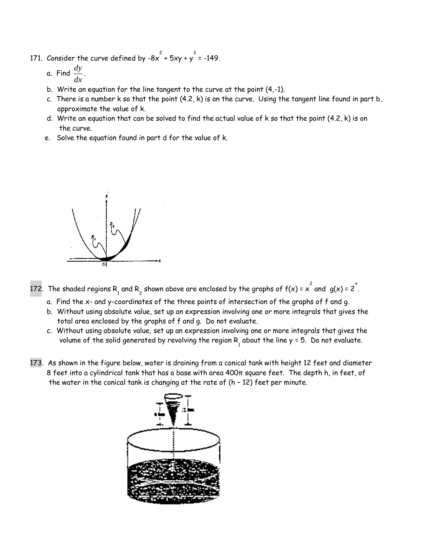- 171. Consider the curve defined by -8x  $^2$  + 5xy + y  $^3$  = -149.
	- a. Find *dy*  $\frac{dy}{dx}$ .
	- b. Write an equation for the line tangent to the curve at the point (4,-1).
	- c. There is a number k so that the point (4.2, k) is on the curve. Using the tangent line found in part b, approximate the value of k.
	- d. Write an equation that can be solved to find the actual value of k so that the point (4.2, k) is on the curve.
	- e. Solve the equation found in part d for the value of k.



- 172. The shaded regions R<sub>1</sub> and R<sub>2</sub> shown above are enclosed by the graphs of  $f(x) = x^2$  and  $g(x) = 2^x$ .
	- a. Find the x- and y-coordinates of the three points of intersection of the graphs of f and g.
	- b. Without using absolute value, set up an expression involving one or more integrals that gives the total area enclosed by the graphs of f and g. Do not evaluate.
	- c. Without using absolute value, set up an expression involving one or more integrals that gives the volume of the solid generated by revolving the region  $\mathsf{R}_{_{1}}$  about the line  $\mathsf{y}$  = 5. Do not evaluate.
- 173. As shown in the figure below, water is draining from a conical tank with height 12 feet and diameter 8 feet into a cylindrical tank that has a base with area 400π square feet. The depth h, in feet, of the water in the conical tank is changing at the rate of  $(h - 12)$  feet per minute.

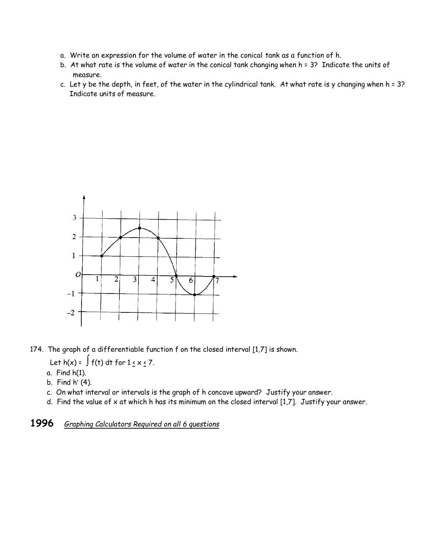- a. Write an expression for the volume of water in the conical tank as a function of h.
- b. At what rate is the volume of water in the conical tank changing when h = 3? Indicate the units of measure.
- c. Let y be the depth, in feet, of the water in the cylindrical tank. At what rate is y changing when h = 3? Indicate units of measure.



- 174. The graph of a differentiable function f on the closed interval [1,7] is shown.
	- Let  $h(x) = \int f(t) dt$  for  $1 \le x \le 7$ .
	- a. Find h(1).
	- b. Find  $h'$  (4).
	- c. On what interval or intervals is the graph of h concave upward? Justify your answer.
	- d. Find the value of x at which h has its minimum on the closed interval [1,7]. Justify your answer.

**1996** *Graphing Calculators Required on all 6 questions*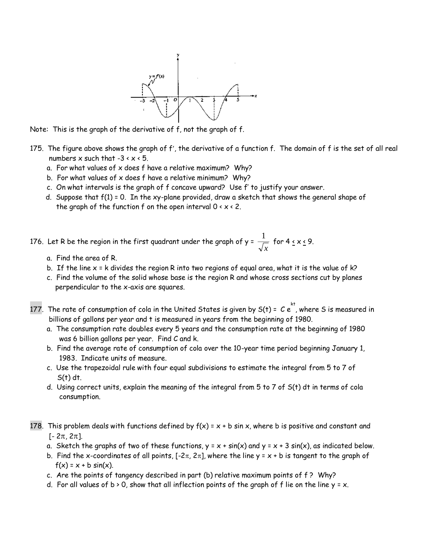

Note: This is the graph of the derivative of f, not the graph of f.

- 175. The figure above shows the graph of f', the derivative of a function f. The domain of f is the set of all real numbers  $x$  such that  $-3 \times x \times 5$ .
	- a. For what values of x does f have a relative maximum? Why?
	- b. For what values of x does f have a relative minimum? Why?
	- c. On what intervals is the graph of f concave upward? Use f' to justify your answer.
	- d. Suppose that f(1) = 0. In the xy-plane provided, draw a sketch that shows the general shape of the graph of the function f on the open interval  $0 \times x \times 2$ .

176. Let R be the region in the first quadrant under the graph of y =  $\frac{1}{\sqrt{2}}$ *x* for 4 < x < 9.

- a. Find the area of R.
- b. If the line  $x = k$  divides the region R into two regions of equal area, what it is the value of  $k$ ?
- c. Find the volume of the solid whose base is the region R and whose cross sections cut by planes perpendicular to the x-axis are squares.
- 177. The rate of consumption of cola in the United States is given by S(t) = C  $e^{kt\over k\tau}$ , where S is measured in billions of gallons per year and t is measured in years from the beginning of 1980.
	- a. The consumption rate doubles every 5 years and the consumption rate at the beginning of 1980 was 6 billion gallons per year. Find C and k.
	- b. Find the average rate of consumption of cola over the 10-year time period beginning January 1, 1983. Indicate units of measure.
	- c. Use the trapezoidal rule with four equal subdivisions to estimate the integral from 5 to 7 of  $S(t)$  dt.
	- d. Using correct units, explain the meaning of the integral from 5 to 7 of S(t) dt in terms of cola consumption.
- 178. This problem deals with functions defined by  $f(x) = x + b \sin x$ , where b is positive and constant and  $[-2\pi, 2\pi]$ .
	- a. Sketch the graphs of two of these functions,  $y = x + sin(x)$  and  $y = x + 3 sin(x)$ , as indicated below.
	- b. Find the x-coordinates of all points,  $[-2\pi, 2\pi]$ , where the line y = x + b is tangent to the graph of  $f(x) = x + b \sin(x)$ .
	- c. Are the points of tangency described in part (b) relative maximum points of f ? Why?
	- d. For all values of  $b > 0$ , show that all inflection points of the graph of f lie on the line  $y = x$ .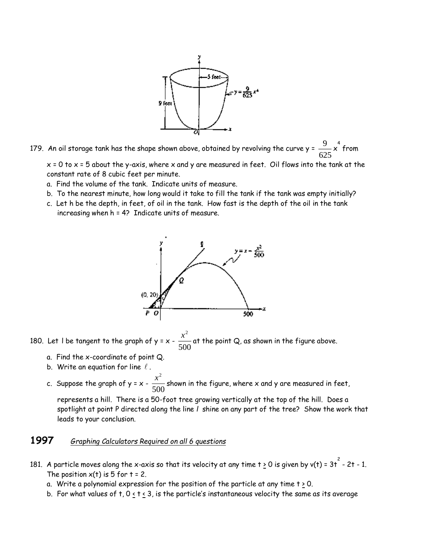

179. An oil storage tank has the shape shown above, obtained by revolving the curve y =  $\frac{9}{100}$  $\frac{9}{625}$ x $^4$  from

 $x = 0$  to  $x = 5$  about the y-axis, where x and y are measured in feet. Oil flows into the tank at the constant rate of 8 cubic feet per minute.

- a. Find the volume of the tank. Indicate units of measure.
- b. To the nearest minute, how long would it take to fill the tank if the tank was empty initially?
- c. Let h be the depth, in feet, of oil in the tank. How fast is the depth of the oil in the tank increasing when h = 4? Indicate units of measure.



180. Let I be tangent to the graph of y = x -  $\frac{x^2}{2}$  $\frac{100}{500}$  at the point Q, as shown in the figure above.

- a. Find the x-coordinate of point Q.
- b. Write an equation for line  $\ell$  .
- c. Suppose the graph of y = x  $\frac{x^2}{2}$  $\frac{100}{500}$  shown in the figure, where x and y are measured in feet,

 represents a hill. There is a 50-foot tree growing vertically at the top of the hill. Does a spotlight at point P directed along the line *l* shine on any part of the tree? Show the work that leads to your conclusion.

### **1997** *Graphing Calculators Required on all 6 questions*

- 181. A particle moves along the x-axis so that its velocity at any time t <u>></u> 0 is given by v(t) = 3t  $^{\overset{\text{\tiny 2}}{\text{\tiny \text{--}}}}$  2t 1. The position  $x(t)$  is 5 for  $t = 2$ .
	- a. Write a polynomial expression for the position of the particle at any time  $t \geq 0$ .
	- b. For what values of t,  $0 \le t \le 3$ , is the particle's instantaneous velocity the same as its average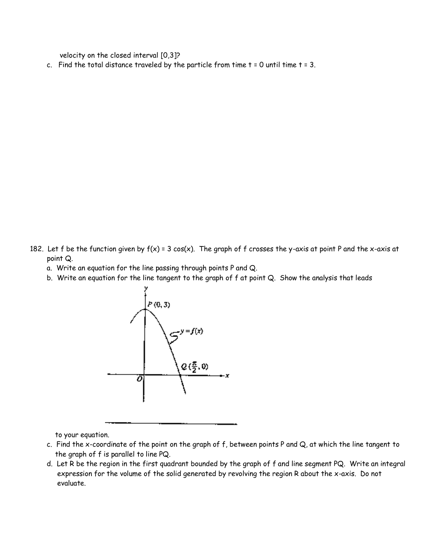velocity on the closed interval [0,3]?

c. Find the total distance traveled by the particle from time  $t = 0$  until time  $t = 3$ .

- 182. Let f be the function given by  $f(x) = 3 \cos(x)$ . The graph of f crosses the y-axis at point P and the x-axis at point Q.
	- a. Write an equation for the line passing through points P and Q.
	- b. Write an equation for the line tangent to the graph of f at point Q. Show the analysis that leads



to your equation.

- c. Find the x-coordinate of the point on the graph of f, between points P and Q, at which the line tangent to the graph of f is parallel to line PQ.
- d. Let R be the region in the first quadrant bounded by the graph of f and line segment PQ. Write an integral expression for the volume of the solid generated by revolving the region R about the x-axis. Do not evaluate.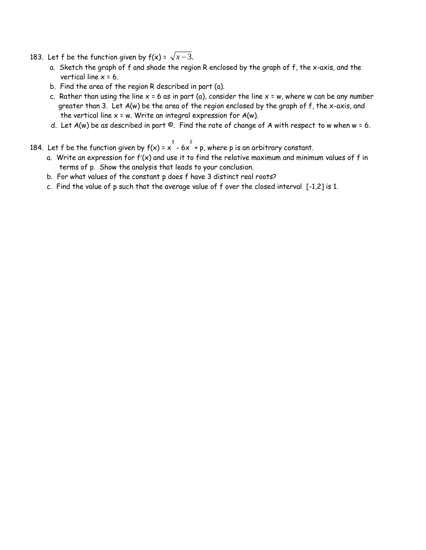- 183. Let f be the function given by  $f(x) = \sqrt{x-3}$ .
	- a. Sketch the graph of f and shade the region R enclosed by the graph of f, the x-axis, and the vertical line  $x = 6$ .
	- b. Find the area of the region R described in part (a).
	- c. Rather than using the line  $x = 6$  as in part (a), consider the line  $x = w$ , where w can be any number greater than 3. Let A(w) be the area of the region enclosed by the graph of f, the x-axis, and the vertical line  $x = w$ . Write an integral expression for  $A(w)$ .
	- d. Let  $A(w)$  be as described in part  $\circledcirc$ . Find the rate of change of A with respect to w when w = 6.
- 184. Let f be the function given by  $f(x) = x^3 6x^2 + p$ , where p is an arbitrary constant.
	- a. Write an expression for  $f'(x)$  and use it to find the relative maximum and minimum values of f in terms of p. Show the analysis that leads to your conclusion.
	- b. For what values of the constant p does f have 3 distinct real roots?
	- c. Find the value of p such that the average value of f over the closed interval [-1,2] is 1.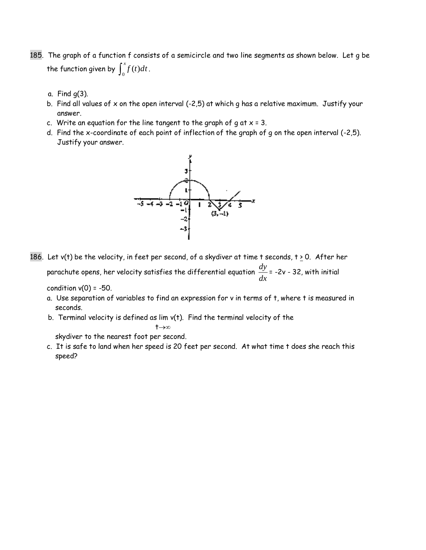- 185. The graph of a function f consists of a semicircle and two line segments as shown below. Let g be the function given by  $\int_0^x f(t) dt$  .
	- a. Find g(3).
	- b. Find all values of x on the open interval  $(-2,5)$  at which g has a relative maximum. Justify your answer.
	- c. Write an equation for the line tangent to the graph of  $g$  at  $x = 3$ .
	- d. Find the x-coordinate of each point of inflection of the graph of g on the open interval (-2,5). Justify your answer.



186. Let v(t) be the velocity, in feet per second, of a skydiver at time t seconds,  $t \ge 0$ . After her parachute opens, her velocity satisfies the differential equation *dy*  $\frac{dy}{dx}$  = -2v - 32, with initial

condition  $v(0) = -50$ .

- a. Use separation of variables to find an expression for v in terms of t, where t is measured in seconds.
- b. Terminal velocity is defined as lim v(t). Find the terminal velocity of the

$$
\textbf{t}{\rightarrow}\infty
$$

skydiver to the nearest foot per second.

 c. It is safe to land when her speed is 20 feet per second. At what time t does she reach this speed?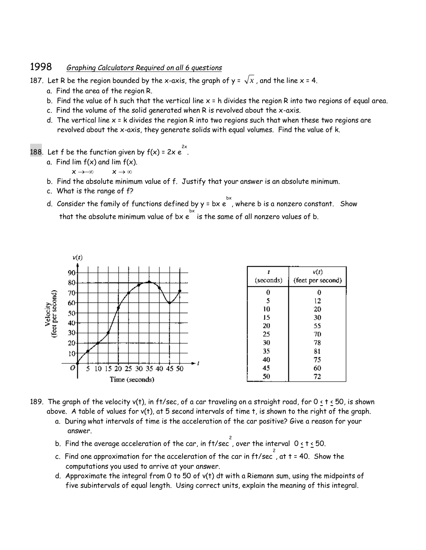### 1998 *Graphing Calculators Required on all 6 questions*

187. Let R be the region bounded by the x-axis, the graph of y =  $\sqrt{x}$  , and the line x = 4.

- a. Find the area of the region R.
- b. Find the value of h such that the vertical line  $x = h$  divides the region R into two regions of equal area.
- c. Find the volume of the solid generated when R is revolved about the x-axis.
- d. The vertical line  $x = k$  divides the region R into two regions such that when these two regions are revolved about the x-axis, they generate solids with equal volumes. Find the value of k.
- 188. Let f be the function given by  $f(x)$  = 2x  $e^{2x}$ .
	- a. Find lim  $f(x)$  and lim  $f(x)$ .

 $x \rightarrow -\infty$   $x \rightarrow \infty$ 

- b. Find the absolute minimum value of f. Justify that your answer is an absolute minimum.
- c. What is the range of f?
- d. Consider the family of functions defined by y = bx  $e^{bx\overline}$ , where b is a nonzero constant. Show that the absolute minimum value of bx  $e^{bx}$  is the same of all nonzero values of b.



- 189. The graph of the velocity v(t), in ft/sec, of a car traveling on a straight road, for 0 < t < 50, is shown above. A table of values for v(t), at 5 second intervals of time t, is shown to the right of the graph.
	- a. During what intervals of time is the acceleration of the car positive? Give a reason for your answer.
	- b. Find the average acceleration of the car, in ft/sec , over the interval <code>Osts</code>
	- c. Find one approximation for the acceleration of the car in ft/sec  $\overline{\;\;}^2$  , at t = 40. Show the computations you used to arrive at your answer.
	- d. Approximate the integral from 0 to 50 of v(t) dt with a Riemann sum, using the midpoints of five subintervals of equal length. Using correct units, explain the meaning of this integral.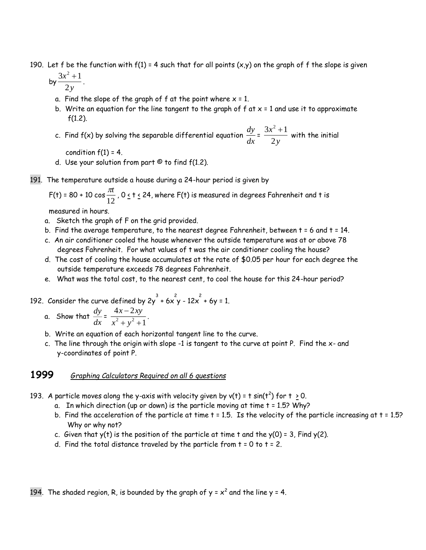- 190. Let f be the function with  $f(1)$  = 4 such that for all points  $(x,y)$  on the graph of f the slope is given
- by  $\frac{3x^2 + 1}{x}$ 2 2 *x y*  $\stackrel{+1}{-}.$ 
	- a. Find the slope of the graph of  $f$  at the point where  $x = 1$ .
	- b. Write an equation for the line tangent to the graph of  $f$  at  $x = 1$  and use it to approximate  $f(1.2)$ .
	- c. Find f(x) by solving the separable differential equation *dy*  $\frac{dy}{dx} = \frac{3x^2 + 1}{2y}$ 2  $x^2$ *y*  $\overset{+1}{-}$  with the initial

condition  $f(1) = 4$ .

- d. Use your solution from part  $\Theta$  to find  $f(1.2)$ .
- 191. The temperature outside a house during a 24-hour period is given by

F(t) = 80 + 10 cos 
$$
\frac{\pi t}{12}
$$
, 0  $\le$  t  $\le$  24, where F(t) is measured in degrees Fahrenheit and t is

measured in hours.

- a. Sketch the graph of F on the grid provided.
- b. Find the average temperature, to the nearest degree Fahrenheit, between t = 6 and t = 14.
- c. An air conditioner cooled the house whenever the outside temperature was at or above 78 degrees Fahrenheit. For what values of t was the air conditioner cooling the house?
- d. The cost of cooling the house accumulates at the rate of \$0.05 per hour for each degree the outside temperature exceeds 78 degrees Fahrenheit.
- e. What was the total cost, to the nearest cent, to cool the house for this 24-hour period?

192. Consider the curve defined by 2y  $3 + 6x + 12x + 6y = 1$ .

- a. Show that  $\frac{dy}{dx}$  $\frac{dy}{dx} = \frac{4x-2}{x^2 + y^2}$  $y^2 + y^2 + 1$ *x* – *zxy <sup>x</sup> y* Ξ  $\frac{1}{1 + y^2 + 1}$ .
	- b. Write an equation of each horizontal tangent line to the curve.
	- c. The line through the origin with slope -1 is tangent to the curve at point P. Find the x- and y-coordinates of point P.

### **1999** *Graphing Calculators Required on all 6 questions*

- 193. A particle moves along the y-axis with velocity given by v(t) = t sin(t<sup>2</sup>) for t  $\geq$  0.
	- a. In which direction (up or down) is the particle moving at time  $t = 1.5$ ? Why?
	- b. Find the acceleration of the particle at time  $t = 1.5$ . Is the velocity of the particle increasing at  $t = 1.5$ ? Why or why not?
	- c. Given that  $y(t)$  is the position of the particle at time t and the  $y(0) = 3$ , Find  $y(2)$ .
	- d. Find the total distance traveled by the particle from  $t = 0$  to  $t = 2$ .

194. The shaded region, R, is bounded by the graph of y =  $x^2$  and the line y = 4.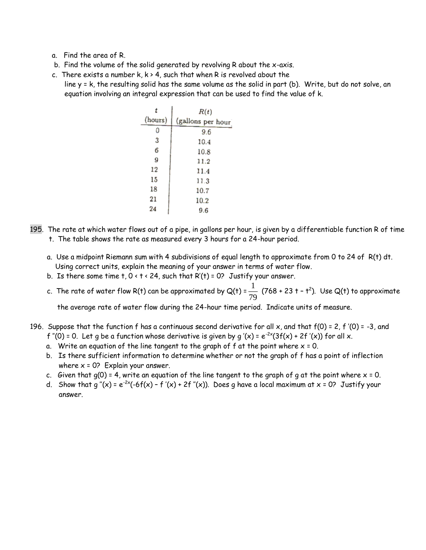- a. Find the area of R.
- b. Find the volume of the solid generated by revolving R about the x-axis.
- c. There exists a number  $k, k > 4$ , such that when R is revolved about the line y = k, the resulting solid has the same volume as the solid in part (b). Write, but do not solve, an equation involving an integral expression that can be used to find the value of k.

|         | R(t)              |
|---------|-------------------|
| (hours) | (gallons per hour |
| 0       | 9.6               |
| 3       | 10.4              |
| 6       | 10.8              |
| 9       | 11.2              |
| 12      | 11.4              |
| 15      | 11.3              |
| 18      | 10.7              |
| 21      | 10.2              |
| 24      | 9.6               |

- 195. The rate at which water flows out of a pipe, in gallons per hour, is given by a differentiable function R of time t. The table shows the rate as measured every 3 hours for a 24-hour period.
	- a. Use a midpoint Riemann sum with 4 subdivisions of equal length to approximate from 0 to 24 of R(t) dt. Using correct units, explain the meaning of your answer in terms of water flow.
	- b. Is there some time  $t$ ,  $0 < t < 24$ , such that R'(t) = 0? Justify your answer.
	- c. The rate of water flow R(t) can be approximated by Q(t) =  $\frac{1}{2}$  $\frac{1}{79}$  (768 + 23 t – t<sup>2</sup>). Use Q(t) to approximate

the average rate of water flow during the 24-hour time period. Indicate units of measure.

- 196. Suppose that the function f has a continuous second derivative for all x, and that  $f(0) = 2$ , f '(0) = -3, and f "(0) = 0. Let g be a function whose derivative is given by g '(x) =  $e^{-2x}(3f(x) + 2f'(x))$  for all x.
	- a. Write an equation of the line tangent to the graph of  $f$  at the point where  $x = 0$ .
	- b. Is there sufficient information to determine whether or not the graph of f has a point of inflection where  $x = 0$ ? Explain your answer.
	- c. Given that  $q(0) = 4$ , write an equation of the line tangent to the graph of q at the point where  $x = 0$ .
	- d. Show that g "(x) =  $e^{-2x}(-6f(x) f'(x) + 2f''(x))$ . Does g have a local maximum at x = 0? Justify your answer.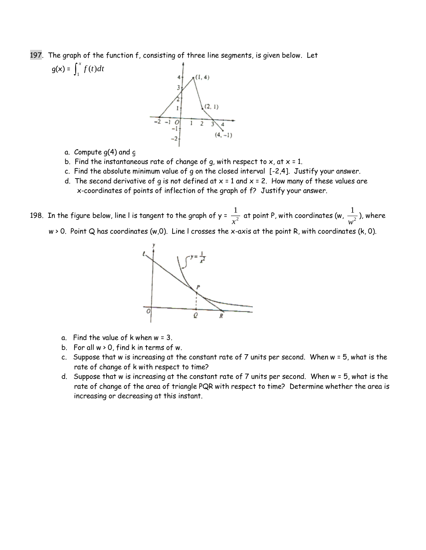197. The graph of the function f, consisting of three line segments, is given below. Let



- a. Compute  $g(4)$  and  $g(4)$
- b. Find the instantaneous rate of change of g, with respect to  $x$ , at  $x = 1$ .
- c. Find the absolute minimum value of g on the closed interval [-2,4]. Justify your answer.
- d. The second derivative of g is not defined at  $x = 1$  and  $x = 2$ . How many of these values are x-coordinates of points of inflection of the graph of f? Justify your answer.

198. In the figure below, line l is tangent to the graph of y =  $\frac{1}{\sqrt{2}}$  $\displaystyle \frac{1}{x^2}$  at point P, with coordinates (w,  $\displaystyle \frac{1}{w^2}$  $\frac{1}{w^2}$ ), where

w > 0. Point Q has coordinates (w,0). Line l crosses the x-axis at the point R, with coordinates (k, 0).



- a. Find the value of  $k$  when  $w = 3$ .
- b. For all  $w > 0$ , find k in terms of w.
- c. Suppose that w is increasing at the constant rate of 7 units per second. When w = 5, what is the rate of change of k with respect to time?
- d. Suppose that w is increasing at the constant rate of 7 units per second. When w = 5, what is the rate of change of the area of triangle PQR with respect to time? Determine whether the area is increasing or decreasing at this instant.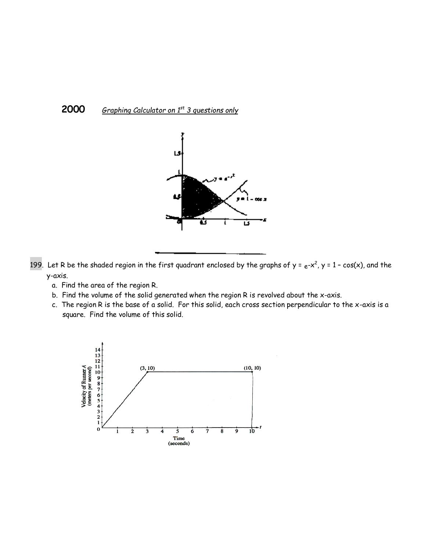### **2000** *Graphing Calculator on 1st 3 questions only*



199. Let R be the shaded region in the first quadrant enclosed by the graphs of y =  $e$ -x<sup>2</sup>, y = 1 – cos(x), and the y-axis.

- a. Find the area of the region R.
- b. Find the volume of the solid generated when the region R is revolved about the x-axis.
- c. The region R is the base of a solid. For this solid, each cross section perpendicular to the x-axis is a square. Find the volume of this solid.

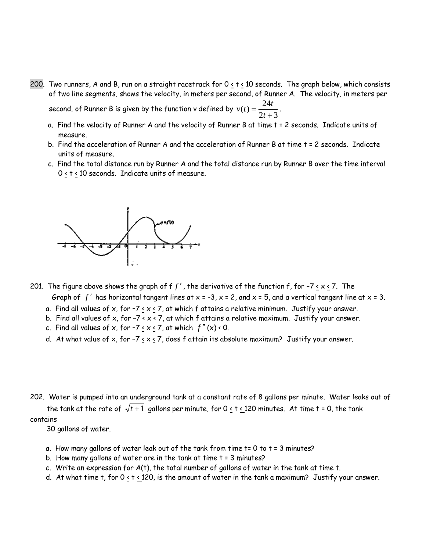200. Two runners, A and B, run on a straight racetrack for 0 < t < 10 seconds. The graph below, which consists of two line segments, shows the velocity, in meters per second, of Runner A. The velocity, in meters per

second, of Runner B is given by the function **v** defined by  $v(t) = \frac{24t}{t}$  $(t) = \frac{1}{2t+1}$ 24  $\frac{2t+3}{2t+3}$ 

- a. Find the velocity of Runner A and the velocity of Runner B at time t = 2 seconds. Indicate units of measure.
- b. Find the acceleration of Runner A and the acceleration of Runner B at time t = 2 seconds. Indicate units of measure.
- c. Find the total distance run by Runner A and the total distance run by Runner B over the time interval  $0 \leq t \leq 10$  seconds. Indicate units of measure.



- 201. The figure above shows the graph of f  $f'$  , the derivative of the function f, for -7 <u>< x <</u> 7. The Graph of  $f'$  has horizontal tangent lines at x = -3, x = 2, and x = 5, and a vertical tangent line at x = 3.
	- a. Find all values of x, for -7  $\left\langle x \right\rangle$  at which f attains a relative minimum. Justify your answer.
	- b. Find all values of x, for -7  $\leq$  x  $\leq$  7, at which f attains a relative maximum. Justify your answer.
	- c. Find all values of x, for -7 <u>< x <</u> 7, at which  $f''(x)$  < 0.
	- d. At what value of x, for -7  $\leq$  x  $\leq$  7, does f attain its absolute maximum? Justify your answer.

202. Water is pumped into an underground tank at a constant rate of 8 gallons per minute. Water leaks out of the tank at the rate of  $\sqrt{t+1}$  gallons per minute, for 0 <u>< t < 1</u>20 minutes. At time t = 0, the tank contains

30 gallons of water.

- a. How many gallons of water leak out of the tank from time t= 0 to t = 3 minutes?
- b. How many gallons of water are in the tank at time t = 3 minutes?
- c. Write an expression for  $A(t)$ , the total number of gallons of water in the tank at time t.
- d. At what time t, for  $0 \le t \le 120$ , is the amount of water in the tank a maximum? Justify your answer.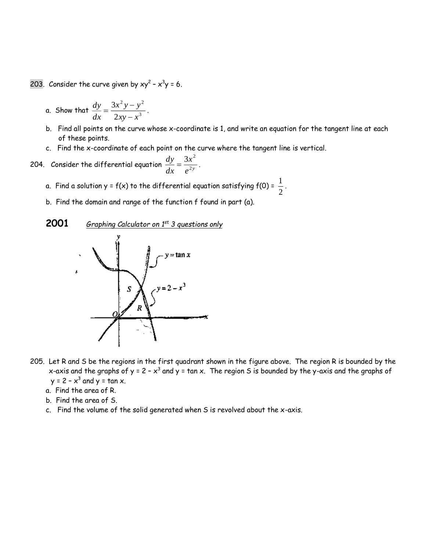203. Consider the curve given by  $xy^2 - x^3y = 6$ .

a. Show that 
$$
\frac{dy}{dx} = \frac{3x^2y - y^2}{2xy - x^3}
$$

- b. Find all points on the curve whose x-coordinate is 1, and write an equation for the tangent line at each of these points.
- c. Find the x-coordinate of each point on the curve where the tangent line is vertical.

204. Consider the differential equation 
$$
\frac{dy}{dx} = \frac{3x^2}{e^{2y}}.
$$

- a. Find a solution y = f(x) to the differential equation satisfying f(0) =  $\frac{\overline{\phantom{a}}}{2}$ 1 .
- b. Find the domain and range of the function f found in part (a).

.



- 205. Let R and S be the regions in the first quadrant shown in the figure above. The region R is bounded by the x-axis and the graphs of y = 2 -  $x^3$  and y = tan x. The region S is bounded by the y-axis and the graphs of  $y = 2 - x^3$  and  $y = \tan x$ .
	- a. Find the area of R.
	- b. Find the area of S.
	- c. Find the volume of the solid generated when S is revolved about the x-axis.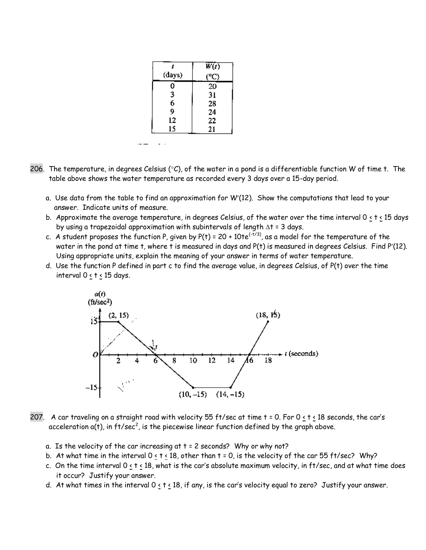|        | $\overline{W(t)}$ |
|--------|-------------------|
| (days) | (°C)              |
| ¢      | 20                |
| 3      | 31                |
| 6      | 28                |
| 9      | 24                |
| 12     | 22                |
| 15     | 21                |
|        |                   |

 $- -$ 

- 206. The temperature, in degrees Celsius ( $°C$ ), of the water in a pond is a differentiable function W of time t. The table above shows the water temperature as recorded every 3 days over a 15-day period.
	- a. Use data from the table to find an approximation for W(12). Show the computations that lead to your answer. Indicate units of measure.
	- b. Approximate the average temperature, in degrees Celsius, of the water over the time interval  $0 \le t \le 15$  days by using a trapezoidal approximation with subintervals of length  $\Delta t = 3$  days.
	- c. A student proposes the function P, given by  $P(t) = 20 + 10te^{(-t/3)}$ , as a model for the temperature of the water in the pond at time t, where t is measured in days and P(t) is measured in degrees Celsius. Find P'(12). Using appropriate units, explain the meaning of your answer in terms of water temperature.
	- d. Use the function P defined in part c to find the average value, in degrees Celsius, of P(t) over the time interval 0 < t < 15 days.



- 207. A car traveling on a straight road with velocity 55 ft/sec at time  $t = 0$ . For  $0 \le t \le 18$  seconds, the car's acceleration a(t), in  $ft/sec^2$ , is the piecewise linear function defined by the graph above.
	- a. Is the velocity of the car increasing at  $t = 2$  seconds? Why or why not?
	- b. At what time in the interval  $0 \le t \le 18$ , other than  $t = 0$ , is the velocity of the car 55 ft/sec? Why?
	- c. On the time interval  $0 \le t \le 18$ , what is the car's absolute maximum velocity, in ft/sec, and at what time does it occur? Justify your answer.
	- d. At what times in the interval 0 < t < 18, if any, is the car's velocity equal to zero? Justify your answer.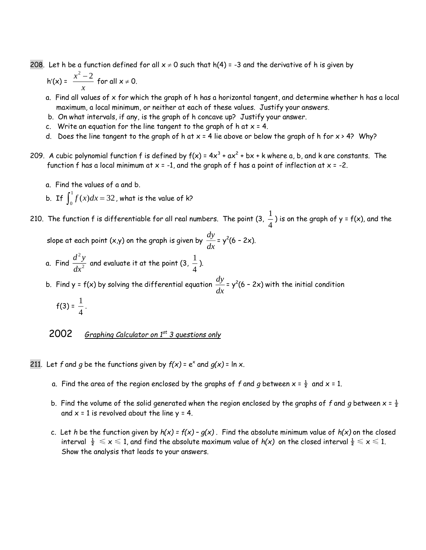208. Let h be a function defined for all  $x \ne 0$  such that h(4) = -3 and the derivative of h is given by

$$
h'(x) = \frac{x^2 - 2}{x}
$$
 for all  $x \ne 0$ .

- a. Find all values of x for which the graph of h has a horizontal tangent, and determine whether h has a local maximum, a local minimum, or neither at each of these values. Justify your answers.
- b. On what intervals, if any, is the graph of h concave up? Justify your answer.
- c. Write an equation for the line tangent to the graph of h at  $x = 4$ .
- d. Does the line tangent to the graph of h at  $x = 4$  lie above or below the graph of h for  $x > 4$ ? Why?
- 209. A cubic polynomial function f is defined by  $f(x) = 4x^3 + ax^2 + bx + k$  where a, b, and k are constants. The function f has a local minimum at  $x = -1$ , and the graph of f has a point of inflection at  $x = -2$ .
	- a. Find the values of a and b.
	- b. If  $\int_0^1 f(x) dx =$  $\int_{0}^{1} f(x) dx = 32$  , what is the value of k? 0

210. The function f is differentiable for all real numbers. The point (3,  $\frac{1}{\tau}$ 4 ) is on the graph of  $y = f(x)$ , and the

slope at each point (x,y) on the graph is given by  $\frac{dy}{dx}$  $\frac{dy}{dx}$  = y<sup>2</sup>(6 - 2x).

a. Find  $\frac{d^2y}{dx^2}$ *dx* 2  $\frac{y}{z}$  and evaluate it at the point (3,  $\frac{1}{4}$ –<br>4<br>

b. Find y = f(x) by solving the differential equation  $\frac{dy}{dx}$  $\frac{dy}{dx}$  = y<sup>2</sup>(6 – 2x) with the initial condition  $f(3) = \frac{1}{1}$ .

$$
4\overline{4}
$$

2002*Graphing Calculator on 1st 3 questions only*

211. Let f and g be the functions given by  $f(x) = e^x$  and  $g(x) = \ln x$ .

- a. Find the area of the region enclosed by the graphs of f and g between  $x = \frac{1}{2}$  and  $x = 1$ .
- b. Find the volume of the solid generated when the region enclosed by the graphs of f and g between  $x = \frac{1}{2}$ and  $x = 1$  is revolved about the line  $y = 4$ .
- c. Let *h* be the function given by  $h(x) = f(x) g(x)$ . Find the absolute minimum value of  $h(x)$  on the closed interval  $\frac{1}{2} \le x \le 1$ , and find the absolute maximum value of  $h(x)$  on the closed interval  $\frac{1}{2} \le x \le 1$ . Show the analysis that leads to your answers.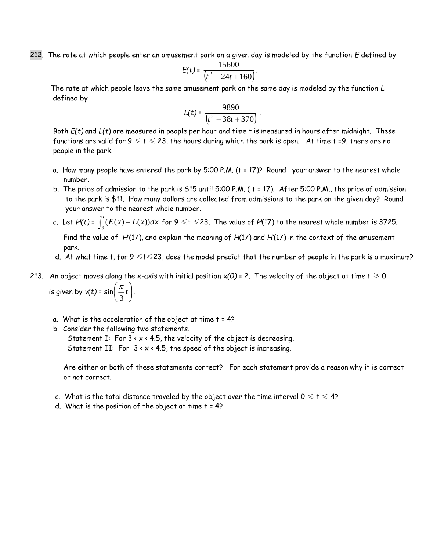212. The rate at which people enter an amusement park on a given day is modeled by the function *E* defined by

$$
E(t) = \frac{15600}{(t^2 - 24t + 160)}
$$

.

 The rate at which people leave the same amusement park on the same day is modeled by the function *L* defined by

$$
L(t) = \frac{9890}{(t^2 - 38t + 370)}.
$$

 Both *E(t)* and *L(t*) are measured in people per hour and time t is measured in hours after midnight. These functions are valid for  $9 \le t \le 23$ , the hours during which the park is open. At time t =9, there are no people in the park.

- a. How many people have entered the park by 5:00 P.M. (t = 17)? Round your answer to the nearest whole number.
- b. The price of admission to the park is \$15 until 5:00 P.M. ( t = 17). After 5:00 P.M., the price of admission to the park is \$11. How many dollars are collected from admissions to the park on the given day? Round your answer to the nearest whole number.
- c. Let *H(t)* = Ξ  $\int\limits_9^t (E(x)-L(x))dx$  for 9  $\leqslant$  t  $\leqslant$  23. The value of *H*(17) to the nearest whole number is 3725.

 Find the value of *H'*(17), and explain the meaning of *H*(17) and *H'*(17) in the context of the amusement park.

- d. At what time t, for  $9 \le t \le 23$ , does the model predict that the number of people in the park is a maximum?
- 213. An object moves along the x-axis with initial position  $x(0)$  = 2. The velocity of the object at time  $t \ge 0$ is given by  $v(t)$  =  $\sin\left(\frac{u}{3}t\right)$ I  $\left(\frac{\pi}{t}\right)$ l  $\left(\frac{\pi}{3}t\right)$  $\frac{\pi}{t}$ .
	- a. What is the acceleration of the object at time  $t = 4$ ?
	- b. Consider the following two statements.

Statement I: For  $3 \times x \times 4.5$ , the velocity of the object is decreasing. Statement II: For  $3 \times x \times 4.5$ , the speed of the object is increasing.

 Are either or both of these statements correct? For each statement provide a reason why it is correct or not correct.

- c. What is the total distance traveled by the object over the time interval  $0 \leq t \leq 4$ ?
- d. What is the position of the object at time  $t = 4$ ?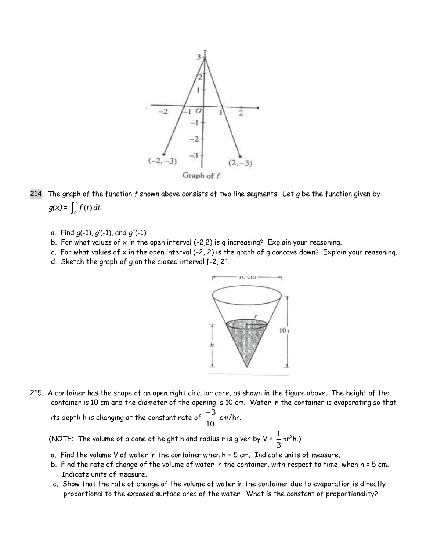

- 214. The graph of the function *f* shown above consists of two line segments. Let *g* be the function given by  $g(x) = \int_0^x f(t) dt$ .
	- a. Find *g*(-1), *g*'(-1), and *g*"(-1).
	- b. For what values of  $x$  in the open interval (-2,2) is q increasing? Explain your reasoning.
	- c. For what values of x in the open interval (-2, 2) is the graph of g concave down? Explain your reasoning.
	- d. Sketch the graph of g on the closed interval [-2, 2].



215. A container has the shape of an open right circular cone, as shown in the figure above. The height of the container is 10 cm and the diameter of the opening is 10 cm. Water in the container is evaporating so that

its depth h is changing at the constant rate of  $\frac{1}{10}$  $\frac{-3}{2}$  cm/hr.

(NOTE: The volume of a cone of height h and radius r is given by V =  $\frac{1}{3}$  $\frac{1}{2} \pi r^2 h$ .)

- a. Find the volume V of water in the container when h = 5 cm. Indicate units of measure.
- b. Find the rate of change of the volume of water in the container, with respect to time, when h = 5 cm. Indicate units of measure.
- c. Show that the rate of change of the volume of water in the container due to evaporation is directly proportional to the exposed surface area of the water. What is the constant of proportionality?